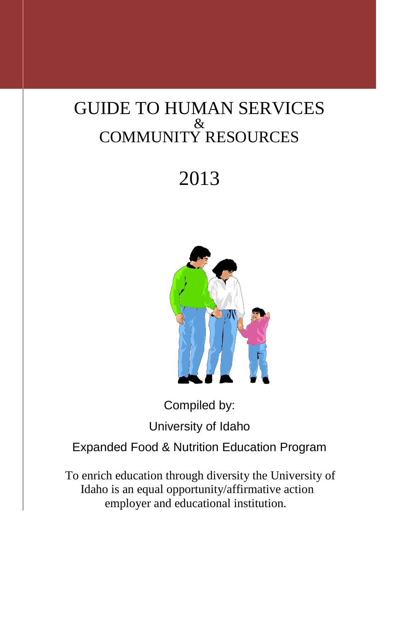## GUIDE TO HUMAN SERVICES & COMMUNITY RESOURCES

# 2013



Compiled by: University of Idaho Expanded Food & Nutrition Education Program

To enrich education through diversity the University of Idaho is an equal opportunity/affirmative action employer and educational institution.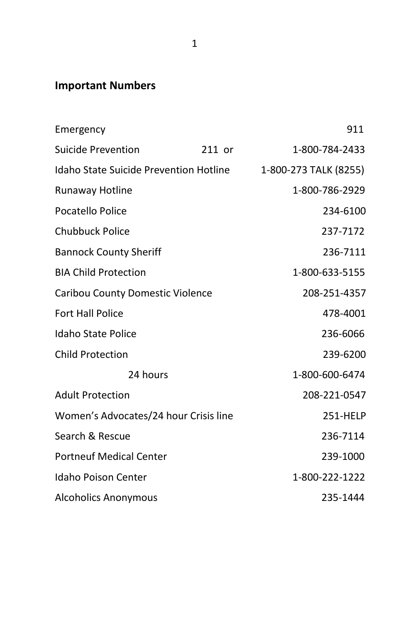## **Important Numbers**

|                                               | 911                   |
|-----------------------------------------------|-----------------------|
| 211 or                                        | 1-800-784-2433        |
| <b>Idaho State Suicide Prevention Hotline</b> | 1-800-273 TALK (8255) |
|                                               | 1-800-786-2929        |
|                                               | 234-6100              |
|                                               | 237-7172              |
|                                               | 236-7111              |
|                                               | 1-800-633-5155        |
| Caribou County Domestic Violence              | 208-251-4357          |
|                                               | 478-4001              |
|                                               | 236-6066              |
|                                               | 239-6200              |
|                                               | 1-800-600-6474        |
|                                               | 208-221-0547          |
| Women's Advocates/24 hour Crisis line         | 251-HELP              |
|                                               | 236-7114              |
|                                               | 239-1000              |
|                                               | 1-800-222-1222        |
|                                               | 235-1444              |
|                                               |                       |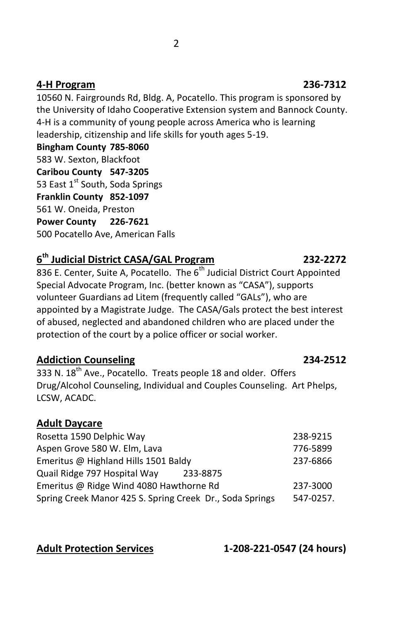### **4-H Program 236-7312**

10560 N. Fairgrounds Rd, Bldg. A, Pocatello. This program is sponsored by the University of Idaho Cooperative Extension system and Bannock County. 4-H is a community of young people across America who is learning leadership, citizenship and life skills for youth ages 5-19.

**Bingham County 785-8060** 583 W. Sexton, Blackfoot **Caribou County 547-3205** 53 East 1<sup>st</sup> South, Soda Springs **Franklin County 852-1097** 561 W. Oneida, Preston **Power County 226-7621** 500 Pocatello Ave, American Falls

## **6 th Judicial District CASA/GAL Program 232-2272**

836 E. Center, Suite A, Pocatello. The 6<sup>th</sup> Judicial District Court Appointed Special Advocate Program, Inc. (better known as "CASA"), supports volunteer Guardians ad Litem (frequently called "GALs"), who are appointed by a Magistrate Judge. The CASA/Gals protect the best interest of abused, neglected and abandoned children who are placed under the protection of the court by a police officer or social worker.

### **Addiction Counseling 234-2512**

 $333$  N.  $18^{th}$  Ave., Pocatello. Treats people 18 and older. Offers Drug/Alcohol Counseling, Individual and Couples Counseling. Art Phelps, LCSW, ACADC.

### **Adult Daycare**

| Rosetta 1590 Delphic Way                                 | 238-9215  |
|----------------------------------------------------------|-----------|
| Aspen Grove 580 W. Elm, Lava                             | 776-5899  |
| Emeritus @ Highland Hills 1501 Baldy                     | 237-6866  |
| Quail Ridge 797 Hospital Way<br>233-8875                 |           |
| Emeritus @ Ridge Wind 4080 Hawthorne Rd                  | 237-3000  |
| Spring Creek Manor 425 S. Spring Creek Dr., Soda Springs | 547-0257. |

**Adult Protection Services 1-208-221-0547 (24 hours)**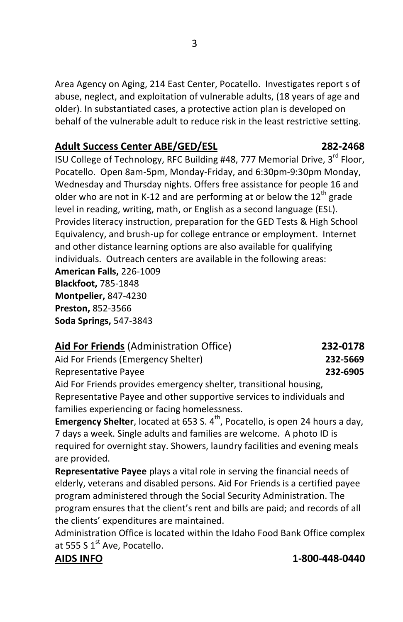Area Agency on Aging, 214 East Center, Pocatello. Investigates report s of abuse, neglect, and exploitation of vulnerable adults, (18 years of age and older). In substantiated cases, a protective action plan is developed on behalf of the vulnerable adult to reduce risk in the least restrictive setting.

## **Adult Success Center ABE/GED/ESL 282-2468**

ISU College of Technology, RFC Building #48, 777 Memorial Drive, 3<sup>rd</sup> Floor, Pocatello. Open 8am-5pm, Monday-Friday, and 6:30pm-9:30pm Monday, Wednesday and Thursday nights. Offers free assistance for people 16 and older who are not in K-12 and are performing at or below the 12<sup>th</sup> grade level in reading, writing, math, or English as a second language (ESL). Provides literacy instruction, preparation for the GED Tests & High School Equivalency, and brush-up for college entrance or employment. Internet and other distance learning options are also available for qualifying individuals. Outreach centers are available in the following areas: **American Falls,** 226-1009 **Blackfoot,** 785-1848 **Montpelier,** 847-4230 **Preston,** 852-3566 **Soda Springs,** 547-3843

| Aid For Friends (Administration Office)                               | 232-0178 |
|-----------------------------------------------------------------------|----------|
| Aid For Friends (Emergency Shelter)                                   | 232-5669 |
| Representative Payee                                                  | 232-6905 |
| Aid For Friends provides emergency shelter, transitional housing,     |          |
| Representative Payee and other supportive services to individuals and |          |
| families experiencing or facing homelessness.                         |          |

**Emergency Shelter**, located at 653 S. 4<sup>th</sup>, Pocatello, is open 24 hours a day, 7 days a week. Single adults and families are welcome. A photo ID is required for overnight stay. Showers, laundry facilities and evening meals are provided.

**Representative Payee** plays a vital role in serving the financial needs of elderly, veterans and disabled persons. Aid For Friends is a certified payee program administered through the Social Security Administration. The program ensures that the client's rent and bills are paid; and records of all the clients' expenditures are maintained.

Administration Office is located within the Idaho Food Bank Office complex at 555 S  $1<sup>st</sup>$  Ave, Pocatello.

### **AIDS INFO 1-800-448-0440**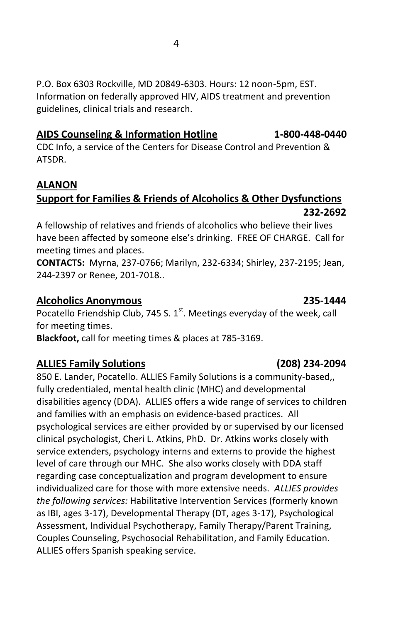P.O. Box 6303 Rockville, MD 20849-6303. Hours: 12 noon-5pm, EST. Information on federally approved HIV, AIDS treatment and prevention guidelines, clinical trials and research.

## **AIDS Counseling & Information Hotline 1-800-448-0440**

CDC Info, a service of the Centers for Disease Control and Prevention & ATSDR.

## **ALANON**

## **Support for Families & Friends of Alcoholics & Other Dysfunctions 232-2692**

A fellowship of relatives and friends of alcoholics who believe their lives have been affected by someone else's drinking. FREE OF CHARGE. Call for meeting times and places.

**CONTACTS:** Myrna, 237-0766; Marilyn, 232-6334; Shirley, 237-2195; Jean, 244-2397 or Renee, 201-7018..

## **Alcoholics Anonymous 235-1444**

Pocatello Friendship Club, 745 S.  $1<sup>st</sup>$ . Meetings everyday of the week, call for meeting times.

**Blackfoot,** call for meeting times & places at 785-3169.

## **ALLIES Family Solutions (208) 234-2094**

850 E. Lander, Pocatello. ALLIES Family Solutions is a community-based,, fully credentialed, mental health clinic (MHC) and developmental disabilities agency (DDA). ALLIES offers a wide range of services to children and families with an emphasis on evidence-based practices. All psychological services are either provided by or supervised by our licensed clinical psychologist, Cheri L. Atkins, PhD. Dr. Atkins works closely with service extenders, psychology interns and externs to provide the highest level of care through our MHC. She also works closely with DDA staff regarding case conceptualization and program development to ensure individualized care for those with more extensive needs. *ALLIES provides the following services:* Habilitative Intervention Services (formerly known as IBI, ages 3-17), Developmental Therapy (DT, ages 3-17), Psychological Assessment, Individual Psychotherapy, Family Therapy/Parent Training, Couples Counseling, Psychosocial Rehabilitation, and Family Education. ALLIES offers Spanish speaking service.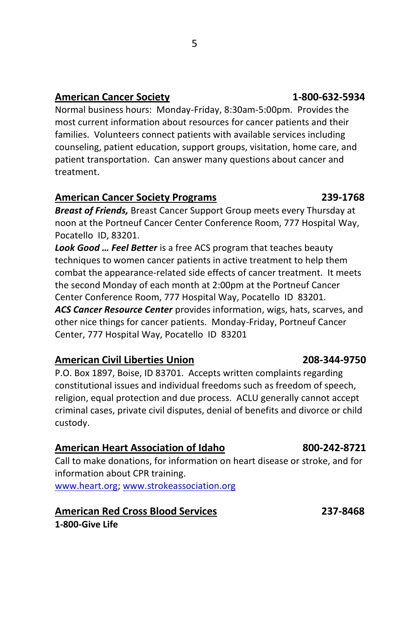## **American Cancer Society 1-800-632-5934**

Normal business hours: Monday-Friday, 8:30am-5:00pm. Provides the most current information about resources for cancer patients and their families. Volunteers connect patients with available services including counseling, patient education, support groups, visitation, home care, and patient transportation. Can answer many questions about cancer and treatment.

### **American Cancer Society Programs 239-1768**

*Breast of Friends,* Breast Cancer Support Group meets every Thursday at noon at the Portneuf Cancer Center Conference Room, 777 Hospital Way, Pocatello ID, 83201.

*Look Good … Feel Better* is a free ACS program that teaches beauty techniques to women cancer patients in active treatment to help them combat the appearance-related side effects of cancer treatment. It meets the second Monday of each month at 2:00pm at the Portneuf Cancer Center Conference Room, 777 Hospital Way, Pocatello ID 83201.

*ACS Cancer Resource Center* provides information, wigs, hats, scarves, and other nice things for cancer patients. Monday-Friday, Portneuf Cancer Center, 777 Hospital Way, Pocatello ID 83201

### **American Civil Liberties Union 208-344-9750**

P.O. Box 1897, Boise, ID 83701. Accepts written complaints regarding constitutional issues and individual freedoms such as freedom of speech, religion, equal protection and due process. ACLU generally cannot accept criminal cases, private civil disputes, denial of benefits and divorce or child custody.

### **American Heart Association of Idaho 800-242-8721**

Call to make donations, for information on heart disease or stroke, and for information about CPR training.

[www.heart.org;](http://www.heart.org/) [www.strokeassociation.org](http://www.strokeassociation.org/)

### **American Red Cross Blood Services 237-8468**

**1-800-Give Life**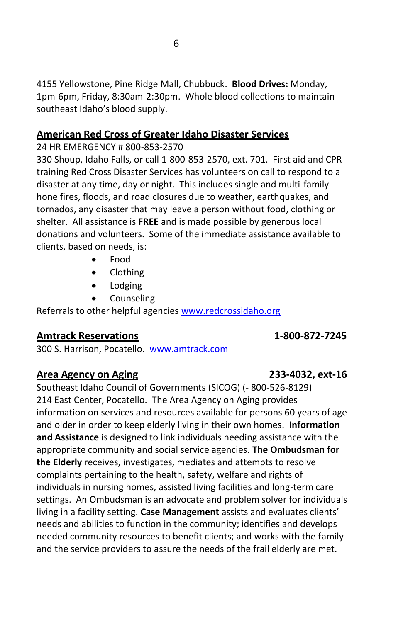4155 Yellowstone, Pine Ridge Mall, Chubbuck. **Blood Drives:** Monday, 1pm-6pm, Friday, 8:30am-2:30pm. Whole blood collections to maintain southeast Idaho's blood supply.

### **American Red Cross of Greater Idaho Disaster Services**

### 24 HR EMERGENCY # 800-853-2570

330 Shoup, Idaho Falls, or call 1-800-853-2570, ext. 701. First aid and CPR training Red Cross Disaster Services has volunteers on call to respond to a disaster at any time, day or night. This includes single and multi-family hone fires, floods, and road closures due to weather, earthquakes, and tornados, any disaster that may leave a person without food, clothing or shelter. All assistance is **FREE** and is made possible by generous local donations and volunteers. Some of the immediate assistance available to clients, based on needs, is:

- Food
- Clothing
- Lodging
- Counseling

Referrals to other helpful agencies [www.redcrossidaho.org](http://www.redcrossidaho.org/)

## **Amtrack Reservations 1-800-872-7245**

300 S. Harrison, Pocatello. [www.amtrack.com](http://www.amtrack.com/)

## **Area Agency on Aging 233-4032, ext-16**

Southeast Idaho Council of Governments (SICOG) (- 800-526-8129) 214 East Center, Pocatello. The Area Agency on Aging provides information on services and resources available for persons 60 years of age and older in order to keep elderly living in their own homes. **Information and Assistance** is designed to link individuals needing assistance with the appropriate community and social service agencies. **The Ombudsman for the Elderly** receives, investigates, mediates and attempts to resolve complaints pertaining to the health, safety, welfare and rights of individuals in nursing homes, assisted living facilities and long-term care settings. An Ombudsman is an advocate and problem solver for individuals living in a facility setting. **Case Management** assists and evaluates clients' needs and abilities to function in the community; identifies and develops needed community resources to benefit clients; and works with the family and the service providers to assure the needs of the frail elderly are met.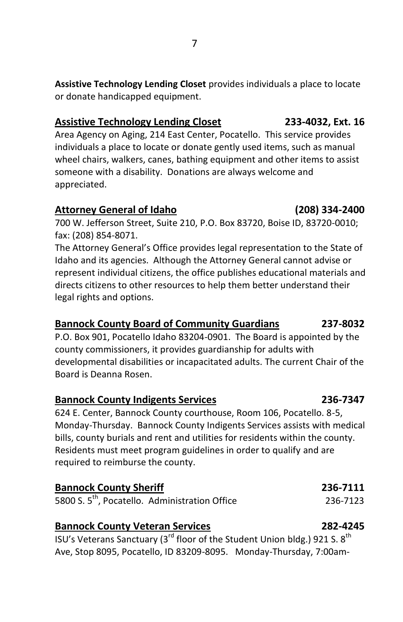**Assistive Technology Lending Closet** provides individuals a place to locate or donate handicapped equipment.

## **Assistive Technology Lending Closet 233-4032, Ext. 16**

Area Agency on Aging, 214 East Center, Pocatello. This service provides individuals a place to locate or donate gently used items, such as manual wheel chairs, walkers, canes, bathing equipment and other items to assist someone with a disability. Donations are always welcome and appreciated.

## **Attorney General of Idaho (208) 334-2400**

700 W. Jefferson Street, Suite 210, P.O. Box 83720, Boise ID, 83720-0010; fax: (208) 854-8071.

The Attorney General's Office provides legal representation to the State of Idaho and its agencies. Although the Attorney General cannot advise or represent individual citizens, the office publishes educational materials and directs citizens to other resources to help them better understand their legal rights and options.

## **Bannock County Board of Community Guardians 237-8032**

P.O. Box 901, Pocatello Idaho 83204-0901. The Board is appointed by the county commissioners, it provides guardianship for adults with developmental disabilities or incapacitated adults. The current Chair of the Board is Deanna Rosen.

## **Bannock County Indigents Services 236-7347**

624 E. Center, Bannock County courthouse, Room 106, Pocatello. 8-5, Monday-Thursday. Bannock County Indigents Services assists with medical bills, county burials and rent and utilities for residents within the county. Residents must meet program guidelines in order to qualify and are required to reimburse the county.

### **Bannock County Sheriff 236-7111** 5800 S. 5<sup>th</sup>, Pocatello. Administration Office 236-7123

## **Bannock County Veteran Services 282-4245**

ISU's Veterans Sanctuary (3 $^{\text{rd}}$  floor of the Student Union bldg.) 921 S. 8<sup>th</sup> Ave, Stop 8095, Pocatello, ID 83209-8095. Monday-Thursday, 7:00am-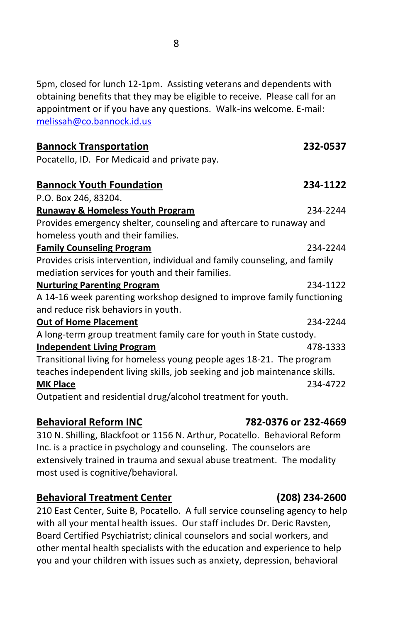5pm, closed for lunch 12-1pm. Assisting veterans and dependents with obtaining benefits that they may be eligible to receive. Please call for an appointment or if you have any questions. Walk-ins welcome. E-mail: [melissah@co.bannock.id.us](mailto:melissah@co.bannock.id.us)

| <b>Bannock Transportation</b>                                              | 232-0537 |
|----------------------------------------------------------------------------|----------|
| Pocatello, ID. For Medicaid and private pay.                               |          |
|                                                                            |          |
| <b>Bannock Youth Foundation</b>                                            | 234-1122 |
| P.O. Box 246, 83204.                                                       |          |
| <b>Runaway &amp; Homeless Youth Program</b>                                | 234-2244 |
| Provides emergency shelter, counseling and aftercare to runaway and        |          |
| homeless youth and their families.                                         |          |
| <b>Family Counseling Program</b>                                           | 234-2244 |
| Provides crisis intervention, individual and family counseling, and family |          |
| mediation services for youth and their families.                           |          |
| <b>Nurturing Parenting Program</b>                                         | 234-1122 |
| A 14-16 week parenting workshop designed to improve family functioning     |          |
| and reduce risk behaviors in youth.                                        |          |
| <b>Out of Home Placement</b>                                               | 234-2244 |
| A long-term group treatment family care for youth in State custody.        |          |
| <b>Independent Living Program</b>                                          | 478-1333 |
| Transitional living for homeless young people ages 18-21. The program      |          |
| teaches independent living skills, job seeking and job maintenance skills. |          |
| <b>MK Place</b>                                                            | 234-4722 |
| Outpatient and residential drug/alcohol treatment for youth.               |          |

### **Behavioral Reform INC 782-0376 or 232-4669**

310 N. Shilling, Blackfoot or 1156 N. Arthur, Pocatello. Behavioral Reform Inc. is a practice in psychology and counseling. The counselors are extensively trained in trauma and sexual abuse treatment. The modality most used is cognitive/behavioral.

### **Behavioral Treatment Center (208) 234-2600**

210 East Center, Suite B, Pocatello. A full service counseling agency to help with all your mental health issues. Our staff includes Dr. Deric Ravsten, Board Certified Psychiatrist; clinical counselors and social workers, and other mental health specialists with the education and experience to help you and your children with issues such as anxiety, depression, behavioral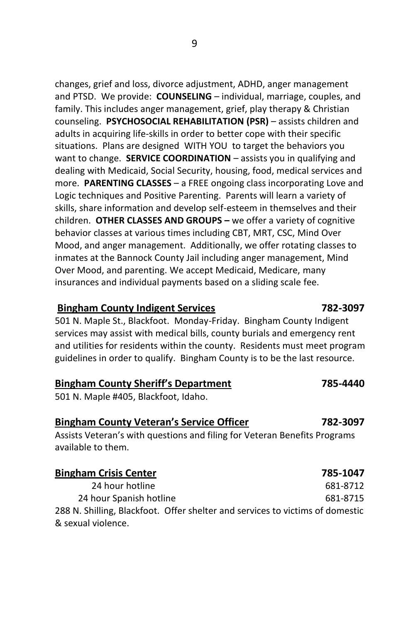9

changes, grief and loss, divorce adjustment, ADHD, anger management and PTSD. We provide: **COUNSELING** – individual, marriage, couples, and family. This includes anger management, grief, play therapy & Christian counseling. **PSYCHOSOCIAL REHABILITATION (PSR)** – assists children and adults in acquiring life-skills in order to better cope with their specific situations. Plans are designed WITH YOU to target the behaviors you want to change. **SERVICE COORDINATION** – assists you in qualifying and dealing with Medicaid, Social Security, housing, food, medical services and more. **PARENTING CLASSES** – a FREE ongoing class incorporating Love and Logic techniques and Positive Parenting. Parents will learn a variety of skills, share information and develop self-esteem in themselves and their children. **OTHER CLASSES AND GROUPS –** we offer a variety of cognitive behavior classes at various times including CBT, MRT, CSC, Mind Over Mood, and anger management. Additionally, we offer rotating classes to inmates at the Bannock County Jail including anger management, Mind Over Mood, and parenting. We accept Medicaid, Medicare, many insurances and individual payments based on a sliding scale fee.

## **Bingham County Indigent Services 782-3097**

501 N. Maple St., Blackfoot. Monday-Friday. Bingham County Indigent services may assist with medical bills, county burials and emergency rent and utilities for residents within the county. Residents must meet program guidelines in order to qualify. Bingham County is to be the last resource.

## **Bingham County Sheriff's Department 785-4440**

501 N. Maple #405, Blackfoot, Idaho.

## **Bingham County Veteran's Service Officer 782-3097**

Assists Veteran's with questions and filing for Veteran Benefits Programs available to them.

## **Bingham Crisis Center 785-1047** 24 hour hotline 681-8712 24 hour Spanish hotline 681-8715 288 N. Shilling, Blackfoot. Offer shelter and services to victims of domestic & sexual violence.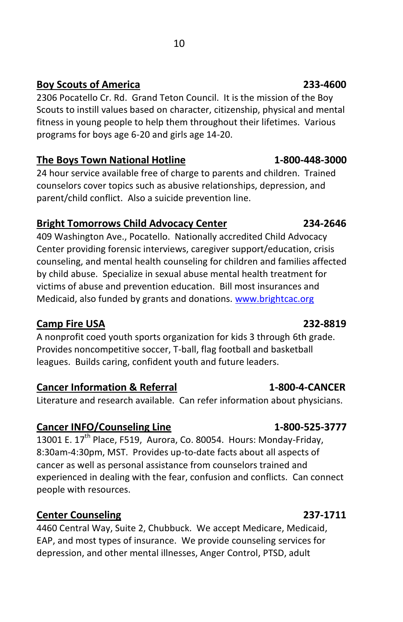## **Boy Scouts of America 233-4600**

2306 Pocatello Cr. Rd. Grand Teton Council. It is the mission of the Boy Scouts to instill values based on character, citizenship, physical and mental fitness in young people to help them throughout their lifetimes. Various programs for boys age 6-20 and girls age 14-20.

## **The Boys Town National Hotline 1-800-448-3000**

24 hour service available free of charge to parents and children. Trained counselors cover topics such as abusive relationships, depression, and parent/child conflict. Also a suicide prevention line.

## **Bright Tomorrows Child Advocacy Center 234-2646**

409 Washington Ave., Pocatello. Nationally accredited Child Advocacy Center providing forensic interviews, caregiver support/education, crisis counseling, and mental health counseling for children and families affected by child abuse. Specialize in sexual abuse mental health treatment for victims of abuse and prevention education. Bill most insurances and Medicaid, also funded by grants and donations. [www.brightcac.org](http://www.brightcac.org/)

## **Camp Fire USA 232-8819**

A nonprofit coed youth sports organization for kids 3 through 6th grade. Provides noncompetitive soccer, T-ball, flag football and basketball leagues. Builds caring, confident youth and future leaders.

## **Cancer Information & Referral 1-800-4-CANCER**

Literature and research available. Can refer information about physicians.

## Cancer INFO/Counseling Line 1-800-525-3777

 $13001$  E. 17<sup>th</sup> Place, F519, Aurora, Co. 80054. Hours: Monday-Friday, 8:30am-4:30pm, MST. Provides up-to-date facts about all aspects of cancer as well as personal assistance from counselors trained and experienced in dealing with the fear, confusion and conflicts. Can connect people with resources.

## **Center Counseling 237-1711**

4460 Central Way, Suite 2, Chubbuck. We accept Medicare, Medicaid, EAP, and most types of insurance. We provide counseling services for depression, and other mental illnesses, Anger Control, PTSD, adult

## **10**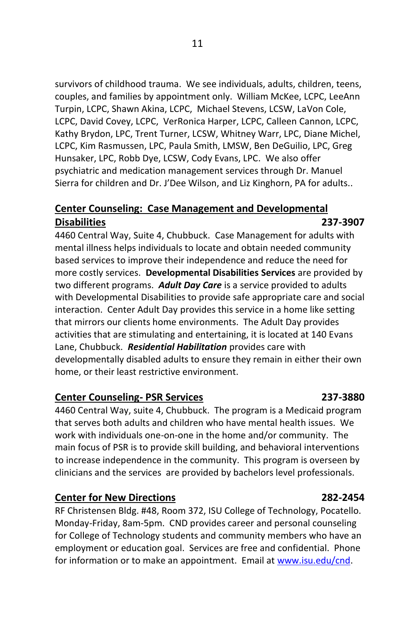survivors of childhood trauma. We see individuals, adults, children, teens, couples, and families by appointment only. William McKee, LCPC, LeeAnn Turpin, LCPC, Shawn Akina, LCPC, Michael Stevens, LCSW, LaVon Cole, LCPC, David Covey, LCPC, VerRonica Harper, LCPC, Calleen Cannon, LCPC, Kathy Brydon, LPC, Trent Turner, LCSW, Whitney Warr, LPC, Diane Michel, LCPC, Kim Rasmussen, LPC, Paula Smith, LMSW, Ben DeGuilio, LPC, Greg Hunsaker, LPC, Robb Dye, LCSW, Cody Evans, LPC. We also offer psychiatric and medication management services through Dr. Manuel Sierra for children and Dr. J'Dee Wilson, and Liz Kinghorn, PA for adults..

## **Center Counseling: Case Management and Developmental Disabilities 237-3907**

4460 Central Way, Suite 4, Chubbuck. Case Management for adults with mental illness helps individuals to locate and obtain needed community based services to improve their independence and reduce the need for more costly services. **Developmental Disabilities Services** are provided by two different programs. *Adult Day Care* is a service provided to adults with Developmental Disabilities to provide safe appropriate care and social interaction. Center Adult Day provides this service in a home like setting that mirrors our clients home environments. The Adult Day provides activities that are stimulating and entertaining, it is located at 140 Evans Lane, Chubbuck. *Residential Habilitation* provides care with developmentally disabled adults to ensure they remain in either their own home, or their least restrictive environment.

### **Center Counseling- PSR Services 237-3880**

4460 Central Way, suite 4, Chubbuck. The program is a Medicaid program that serves both adults and children who have mental health issues. We work with individuals one-on-one in the home and/or community. The main focus of PSR is to provide skill building, and behavioral interventions to increase independence in the community. This program is overseen by clinicians and the services are provided by bachelors level professionals.

### **Center for New Directions 282-2454**

RF Christensen Bldg. #48, Room 372, ISU College of Technology, Pocatello. Monday-Friday, 8am-5pm. CND provides career and personal counseling for College of Technology students and community members who have an employment or education goal. Services are free and confidential. Phone for information or to make an appointment. Email a[t www.isu.edu/cnd.](http://www.isu.edu/cnd)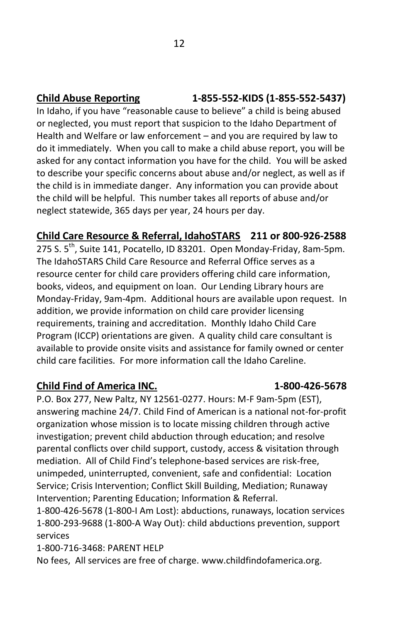In Idaho, if you have "reasonable cause to believe" a child is being abused or neglected, you must report that suspicion to the Idaho Department of Health and Welfare or law enforcement – and you are required by law to do it immediately. When you call to make a child abuse report, you will be asked for any contact information you have for the child. You will be asked to describe your specific concerns about abuse and/or neglect, as well as if the child is in immediate danger. Any information you can provide about the child will be helpful. This number takes all reports of abuse and/or neglect statewide, 365 days per year, 24 hours per day.

## **Child Care Resource & Referral, IdahoSTARS 211 or 800-926-2588**

275 S. 5<sup>th</sup>, Suite 141, Pocatello, ID 83201. Open Monday-Friday, 8am-5pm. The IdahoSTARS Child Care Resource and Referral Office serves as a resource center for child care providers offering child care information, books, videos, and equipment on loan. Our Lending Library hours are Monday-Friday, 9am-4pm. Additional hours are available upon request. In addition, we provide information on child care provider licensing requirements, training and accreditation. Monthly Idaho Child Care Program (ICCP) orientations are given. A quality child care consultant is available to provide onsite visits and assistance for family owned or center child care facilities. For more information call the Idaho Careline.

## **Child Find of America INC. 1-800-426-5678**

P.O. Box 277, New Paltz, NY 12561-0277. Hours: M-F 9am-5pm (EST), answering machine 24/7. Child Find of American is a national not-for-profit organization whose mission is to locate missing children through active investigation; prevent child abduction through education; and resolve parental conflicts over child support, custody, access & visitation through mediation. All of Child Find's telephone-based services are risk-free, unimpeded, uninterrupted, convenient, safe and confidential: Location Service; Crisis Intervention; Conflict Skill Building, Mediation; Runaway Intervention; Parenting Education; Information & Referral.

1-800-426-5678 (1-800-I Am Lost): abductions, runaways, location services 1-800-293-9688 (1-800-A Way Out): child abductions prevention, support services

1-800-716-3468: PARENT HELP

No fees, All services are free of charge. www.childfindofamerica.org.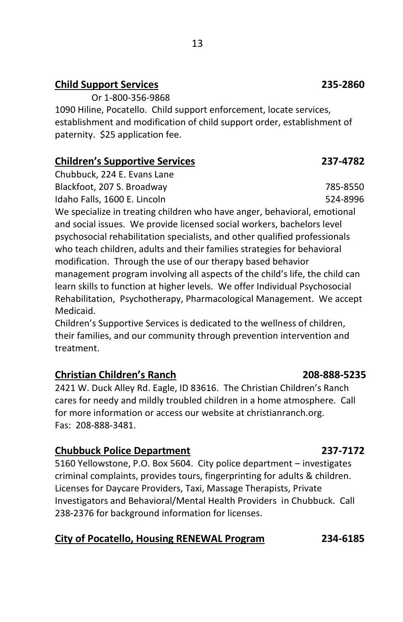## **Child Support Services 235-2860**

Or 1-800-356-9868

1090 Hiline, Pocatello. Child support enforcement, locate services, establishment and modification of child support order, establishment of paternity. \$25 application fee.

## **Children's Supportive Services 237-4782**

Chubbuck, 224 E. Evans Lane Blackfoot, 207 S. Broadway 785-8550 Idaho Falls, 1600 E. Lincoln 524-8996

We specialize in treating children who have anger, behavioral, emotional and social issues. We provide licensed social workers, bachelors level psychosocial rehabilitation specialists, and other qualified professionals who teach children, adults and their families strategies for behavioral modification. Through the use of our therapy based behavior management program involving all aspects of the child's life, the child can learn skills to function at higher levels. We offer Individual Psychosocial Rehabilitation, Psychotherapy, Pharmacological Management. We accept Medicaid.

Children's Supportive Services is dedicated to the wellness of children, their families, and our community through prevention intervention and treatment.

## **Christian Children's Ranch 208-888-5235**

2421 W. Duck Alley Rd. Eagle, ID 83616. The Christian Children's Ranch cares for needy and mildly troubled children in a home atmosphere. Call for more information or access our website at christianranch.org. Fas: 208-888-3481.

### **Chubbuck Police Department 237-7172**

5160 Yellowstone, P.O. Box 5604. City police department – investigates criminal complaints, provides tours, fingerprinting for adults & children. Licenses for Daycare Providers, Taxi, Massage Therapists, Private Investigators and Behavioral/Mental Health Providers in Chubbuck. Call 238-2376 for background information for licenses.

## **City of Pocatello, Housing RENEWAL Program 234-6185**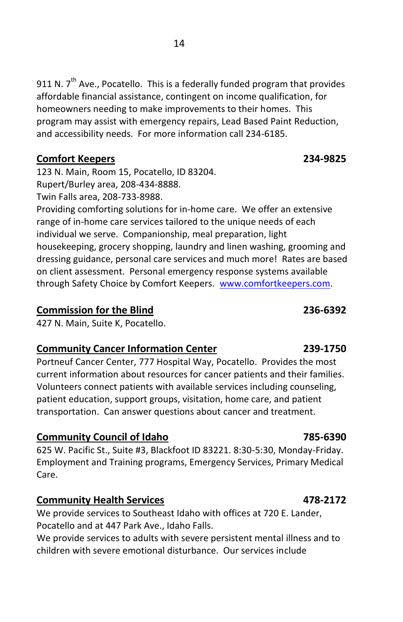911 N.  $7<sup>th</sup>$  Ave., Pocatello. This is a federally funded program that provides affordable financial assistance, contingent on income qualification, for homeowners needing to make improvements to their homes. This program may assist with emergency repairs, Lead Based Paint Reduction, and accessibility needs. For more information call 234-6185.

## **Comfort Keepers 234-9825**

123 N. Main, Room 15, Pocatello, ID 83204. Rupert/Burley area, 208-434-8888.

Twin Falls area, 208-733-8988.

Providing comforting solutions for in-home care. We offer an extensive range of in-home care services tailored to the unique needs of each individual we serve. Companionship, meal preparation, light housekeeping, grocery shopping, laundry and linen washing, grooming and dressing guidance, personal care services and much more! Rates are based on client assessment. Personal emergency response systems available through Safety Choice by Comfort Keepers. [www.comfortkeepers.com.](http://www.comfortkeepers.com/)

## **Commission for the Blind 236-6392**

427 N. Main, Suite K, Pocatello.

## **Community Cancer Information Center 239-1750**

Portneuf Cancer Center, 777 Hospital Way, Pocatello. Provides the most current information about resources for cancer patients and their families. Volunteers connect patients with available services including counseling, patient education, support groups, visitation, home care, and patient transportation. Can answer questions about cancer and treatment.

## **Community Council of Idaho 785-6390**

625 W. Pacific St., Suite #3, Blackfoot ID 83221. 8:30-5:30, Monday-Friday. Employment and Training programs, Emergency Services, Primary Medical Care.

## **Community Health Services 178-2172**

We provide services to Southeast Idaho with offices at 720 E. Lander, Pocatello and at 447 Park Ave., Idaho Falls.

We provide services to adults with severe persistent mental illness and to children with severe emotional disturbance. Our services include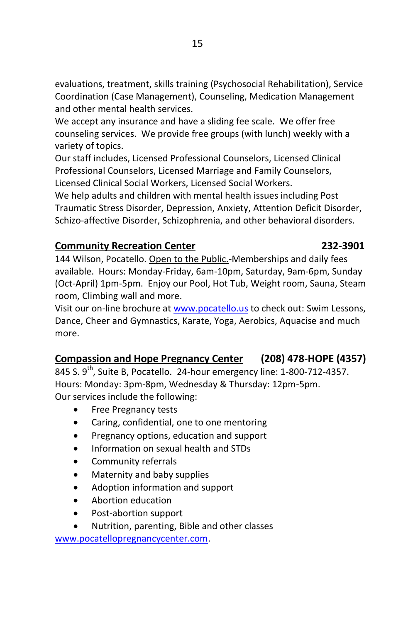evaluations, treatment, skills training (Psychosocial Rehabilitation), Service Coordination (Case Management), Counseling, Medication Management and other mental health services.

We accept any insurance and have a sliding fee scale. We offer free counseling services. We provide free groups (with lunch) weekly with a variety of topics.

Our staff includes, Licensed Professional Counselors, Licensed Clinical Professional Counselors, Licensed Marriage and Family Counselors, Licensed Clinical Social Workers, Licensed Social Workers.

We help adults and children with mental health issues including Post Traumatic Stress Disorder, Depression, Anxiety, Attention Deficit Disorder, Schizo-affective Disorder, Schizophrenia, and other behavioral disorders.

## **Community Recreation Center 232-3901**

## 144 Wilson, Pocatello. Open to the Public.-Memberships and daily fees available. Hours: Monday-Friday, 6am-10pm, Saturday, 9am-6pm, Sunday (Oct-April) 1pm-5pm. Enjoy our Pool, Hot Tub, Weight room, Sauna, Steam room, Climbing wall and more.

Visit our on-line brochure a[t www.pocatello.us](http://www.pocatello.us/) to check out: Swim Lessons, Dance, Cheer and Gymnastics, Karate, Yoga, Aerobics, Aquacise and much more.

## **Compassion and Hope Pregnancy Center (208) 478-HOPE (4357)**

845 S. 9<sup>th</sup>, Suite B, Pocatello. 24-hour emergency line: 1-800-712-4357. Hours: Monday: 3pm-8pm, Wednesday & Thursday: 12pm-5pm. Our services include the following:

- Free Pregnancy tests
- Caring, confidential, one to one mentoring
- Pregnancy options, education and support
- Information on sexual health and STDs
- Community referrals
- Maternity and baby supplies
- Adoption information and support
- Abortion education
- Post-abortion support
- Nutrition, parenting, Bible and other classes

[www.pocatellopregnancycenter.com.](http://www.pocatellopregnancycenter.com/)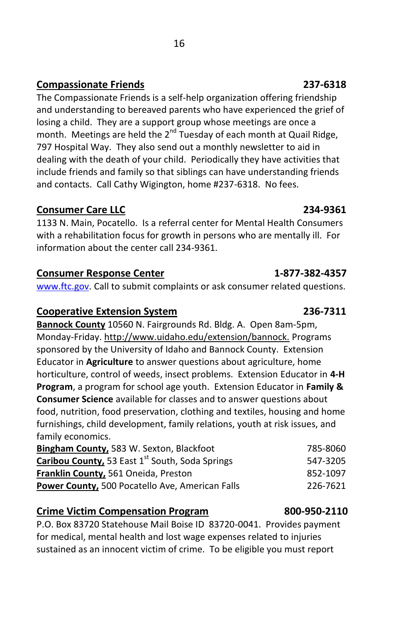The Compassionate Friends is a self-help organization offering friendship and understanding to bereaved parents who have experienced the grief of losing a child. They are a support group whose meetings are once a month. Meetings are held the  $2^{nd}$  Tuesday of each month at Quail Ridge, 797 Hospital Way. They also send out a monthly newsletter to aid in dealing with the death of your child. Periodically they have activities that include friends and family so that siblings can have understanding friends and contacts. Call Cathy Wigington, home #237-6318. No fees.

## **Consumer Care LLC 234-9361**

1133 N. Main, Pocatello. Is a referral center for Mental Health Consumers with a rehabilitation focus for growth in persons who are mentally ill. For information about the center call 234-9361.

## **Consumer Response Center** 1-877-382-4357

[www.ftc.gov.](http://www.ftc.gov/) Call to submit complaints or ask consumer related questions.

## **Cooperative Extension System 236-7311**

**Bannock County** 10560 N. Fairgrounds Rd. Bldg. A. Open 8am-5pm, Monday-Friday. http://www.uidaho.edu/extension/bannock. Programs sponsored by the University of Idaho and Bannock County. Extension Educator in **Agriculture** to answer questions about agriculture, home horticulture, control of weeds, insect problems. Extension Educator in **4-H Program**, a program for school age youth. Extension Educator in **Family & Consumer Science** available for classes and to answer questions about food, nutrition, food preservation, clothing and textiles, housing and home furnishings, child development, family relations, youth at risk issues, and family economics.

| <b>Bingham County, 583 W. Sexton, Blackfoot</b>             | 785-8060 |
|-------------------------------------------------------------|----------|
| Caribou County, 53 East 1 <sup>st</sup> South, Soda Springs | 547-3205 |
| <b>Franklin County.</b> 561 Oneida. Preston                 | 852-1097 |
| <b>Power County.</b> 500 Pocatello Ave. American Falls      | 226-7621 |

## **Crime Victim Compensation Program 800-950-2110**

P.O. Box 83720 Statehouse Mail Boise ID 83720-0041. Provides payment for medical, mental health and lost wage expenses related to injuries sustained as an innocent victim of crime. To be eligible you must report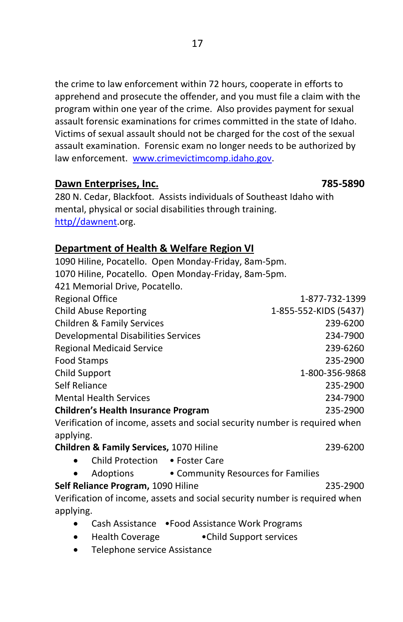the crime to law enforcement within 72 hours, cooperate in efforts to apprehend and prosecute the offender, and you must file a claim with the program within one year of the crime. Also provides payment for sexual assault forensic examinations for crimes committed in the state of Idaho. Victims of sexual assault should not be charged for the cost of the sexual assault examination. Forensic exam no longer needs to be authorized by law enforcement. [www.crimevictimcomp.idaho.gov.](http://www.crimevictimcomp.idaho.gov/)

### **Dawn Enterprises, Inc. 785-5890**

280 N. Cedar, Blackfoot. Assists individuals of Southeast Idaho with mental, physical or social disabilities through training. [http//dawnent.](http://www.orgsites.com/id/dawnent)org.

## **Department of Health & Welfare Region VI**

1090 Hiline, Pocatello. Open Monday-Friday, 8am-5pm. 1070 Hiline, Pocatello. Open Monday-Friday, 8am-5pm. 421 Memorial Drive, Pocatello. Regional Office 1-877-732-1399 Child Abuse Reporting 1-855-552-KIDS (5437) Children & Family Services 239-6200 Developmental Disabilities Services 234-7900 Regional Medicaid Service 239-6260 Food Stamps 235-2900 Child Support 1-800-356-9868 Self Reliance 235-2900 Mental Health Services 234-7900 **Children's Health Insurance Program** 235-2900 Verification of income, assets and social security number is required when applying. **Children & Family Services, 1070 Hiline 239-6200** • Child Protection • Foster Care Adoptions • Community Resources for Families **Self Reliance Program,** 1090 Hiline 235-2900 Verification of income, assets and social security number is required when applying.

- Cash Assistance Food Assistance Work Programs
- Health Coverage Child Support services
- Telephone service Assistance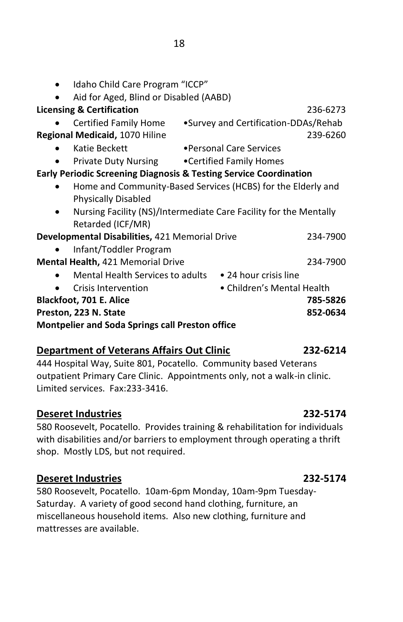| Idaho Child Care Program "ICCP"                                   |                                                                   |          |
|-------------------------------------------------------------------|-------------------------------------------------------------------|----------|
| Aid for Aged, Blind or Disabled (AABD)                            |                                                                   |          |
| <b>Licensing &amp; Certification</b>                              |                                                                   | 236-6273 |
| Certified Family Home                                             | •Survey and Certification-DDAs/Rehab                              |          |
| Regional Medicaid, 1070 Hiline                                    |                                                                   | 239-6260 |
| Katie Beckett                                                     | •Personal Care Services                                           |          |
| <b>Private Duty Nursing • Certified Family Homes</b>              |                                                                   |          |
| Early Periodic Screening Diagnosis & Testing Service Coordination |                                                                   |          |
|                                                                   | Home and Community-Based Services (HCBS) for the Elderly and      |          |
| <b>Physically Disabled</b>                                        |                                                                   |          |
|                                                                   | Nursing Facility (NS)/Intermediate Care Facility for the Mentally |          |
| Retarded (ICF/MR)                                                 |                                                                   |          |
| Developmental Disabilities, 421 Memorial Drive                    |                                                                   | 234-7900 |
| Infant/Toddler Program                                            |                                                                   |          |
| <b>Mental Health, 421 Memorial Drive</b>                          |                                                                   | 234-7900 |
| Mental Health Services to adults                                  | • 24 hour crisis line                                             |          |
| Crisis Intervention                                               | • Children's Mental Health                                        |          |
| <b>Blackfoot, 701 E. Alice</b>                                    |                                                                   | 785-5826 |
| Preston, 223 N. State                                             |                                                                   | 852-0634 |

**Montpelier and Soda Springs call Preston office**

## **Department of Veterans Affairs Out Clinic 232-6214**

444 Hospital Way, Suite 801, Pocatello. Community based Veterans outpatient Primary Care Clinic. Appointments only, not a walk-in clinic. Limited services. Fax:233-3416.

## **Deseret Industries 232-5174**

580 Roosevelt, Pocatello. Provides training & rehabilitation for individuals with disabilities and/or barriers to employment through operating a thrift shop. Mostly LDS, but not required.

## **Deseret Industries 232-5174**

580 Roosevelt, Pocatello. 10am-6pm Monday, 10am-9pm Tuesday-Saturday. A variety of good second hand clothing, furniture, an miscellaneous household items. Also new clothing, furniture and mattresses are available.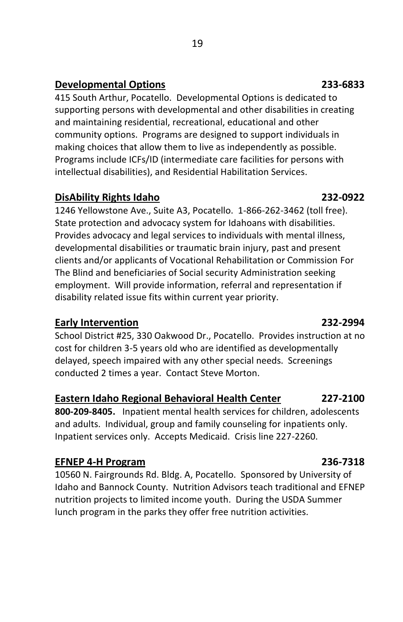## **Developmental Options 233-6833**

415 South Arthur, Pocatello. Developmental Options is dedicated to supporting persons with developmental and other disabilities in creating and maintaining residential, recreational, educational and other community options. Programs are designed to support individuals in making choices that allow them to live as independently as possible. Programs include ICFs/ID (intermediate care facilities for persons with intellectual disabilities), and Residential Habilitation Services.

## **DisAbility Rights Idaho 232-0922**

1246 Yellowstone Ave., Suite A3, Pocatello. 1-866-262-3462 (toll free). State protection and advocacy system for Idahoans with disabilities. Provides advocacy and legal services to individuals with mental illness, developmental disabilities or traumatic brain injury, past and present clients and/or applicants of Vocational Rehabilitation or Commission For The Blind and beneficiaries of Social security Administration seeking employment. Will provide information, referral and representation if disability related issue fits within current year priority.

## **Early Intervention 232-2994**

School District #25, 330 Oakwood Dr., Pocatello. Provides instruction at no cost for children 3-5 years old who are identified as developmentally delayed, speech impaired with any other special needs. Screenings conducted 2 times a year. Contact Steve Morton.

## **Eastern Idaho Regional Behavioral Health Center 227-2100**

**800-209-8405.** Inpatient mental health services for children, adolescents and adults. Individual, group and family counseling for inpatients only. Inpatient services only. Accepts Medicaid. Crisis line 227-2260.

## **EFNEP 4-H Program 236-7318**

10560 N. Fairgrounds Rd. Bldg. A, Pocatello. Sponsored by University of Idaho and Bannock County. Nutrition Advisors teach traditional and EFNEP nutrition projects to limited income youth. During the USDA Summer lunch program in the parks they offer free nutrition activities.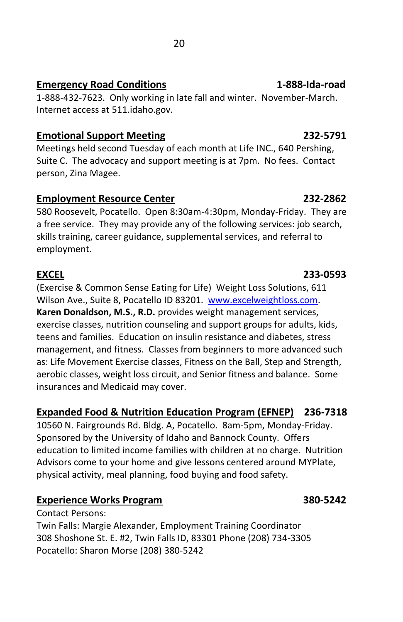## **Emergency Road Conditions 1-888-Ida-road**

1-888-432-7623. Only working in late fall and winter. November-March. Internet access at 511.idaho.gov.

## **Emotional Support Meeting 232-5791**

Meetings held second Tuesday of each month at Life INC., 640 Pershing, Suite C. The advocacy and support meeting is at 7pm. No fees. Contact person, Zina Magee.

## **Employment Resource Center 232-2862**

580 Roosevelt, Pocatello. Open 8:30am-4:30pm, Monday-Friday. They are a free service. They may provide any of the following services: job search, skills training, career guidance, supplemental services, and referral to employment.

(Exercise & Common Sense Eating for Life) Weight Loss Solutions, 611 Wilson Ave., Suite 8, Pocatello ID 83201. [www.excelweightloss.com.](http://www.excelweightloss.com/)  **Karen Donaldson, M.S., R.D.** provides weight management services, exercise classes, nutrition counseling and support groups for adults, kids, teens and families. Education on insulin resistance and diabetes, stress management, and fitness. Classes from beginners to more advanced such as: Life Movement Exercise classes, Fitness on the Ball, Step and Strength, aerobic classes, weight loss circuit, and Senior fitness and balance. Some insurances and Medicaid may cover.

## **Expanded Food & Nutrition Education Program (EFNEP) 236-7318**

10560 N. Fairgrounds Rd. Bldg. A, Pocatello. 8am-5pm, Monday-Friday. Sponsored by the University of Idaho and Bannock County. Offers education to limited income families with children at no charge. Nutrition Advisors come to your home and give lessons centered around MYPlate, physical activity, meal planning, food buying and food safety.

## **Experience Works Program 380-5242**

Contact Persons:

Twin Falls: Margie Alexander, Employment Training Coordinator 308 Shoshone St. E. #2, Twin Falls ID, 83301 Phone (208) 734-3305 Pocatello: Sharon Morse (208) 380-5242

## **EXCEL 233-0593**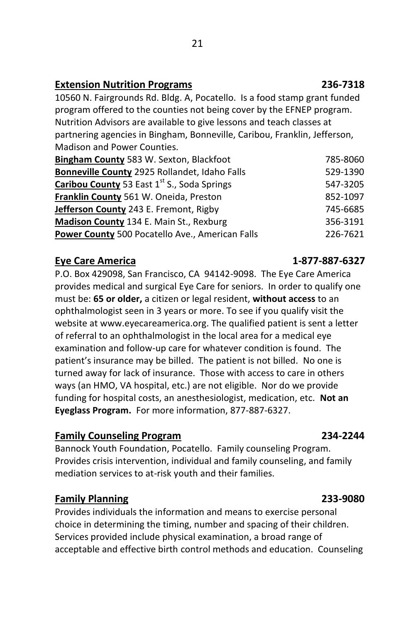### **Extension Nutrition Programs 236-7318**

10560 N. Fairgrounds Rd. Bldg. A, Pocatello. Is a food stamp grant funded program offered to the counties not being cover by the EFNEP program. Nutrition Advisors are available to give lessons and teach classes at partnering agencies in Bingham, Bonneville, Caribou, Franklin, Jefferson, Madison and Power Counties.

| Bingham County 583 W. Sexton, Blackfoot                | 785-8060 |
|--------------------------------------------------------|----------|
| <b>Bonneville County 2925 Rollandet, Idaho Falls</b>   | 529-1390 |
| Caribou County 53 East 1st S., Soda Springs            | 547-3205 |
| Franklin County 561 W. Oneida, Preston                 | 852-1097 |
| <b>Jefferson County</b> 243 E. Fremont, Rigby          | 745-6685 |
| Madison County 134 E. Main St., Rexburg                | 356-3191 |
| <b>Power County 500 Pocatello Ave., American Falls</b> | 226-7621 |

### **Eye Care America 1-877-887-6327**

P.O. Box 429098, San Francisco, CA 94142-9098. The Eye Care America provides medical and surgical Eye Care for seniors. In order to qualify one must be: **65 or older,** a citizen or legal resident, **without access** to an ophthalmologist seen in 3 years or more. To see if you qualify visit the website at www.eyecareamerica.org. The qualified patient is sent a letter of referral to an ophthalmologist in the local area for a medical eye examination and follow-up care for whatever condition is found. The patient's insurance may be billed. The patient is not billed. No one is turned away for lack of insurance. Those with access to care in others ways (an HMO, VA hospital, etc.) are not eligible. Nor do we provide funding for hospital costs, an anesthesiologist, medication, etc. **Not an Eyeglass Program.** For more information, 877-887-6327.

### **Family Counseling Program 234-2244**

Bannock Youth Foundation, Pocatello. Family counseling Program. Provides crisis intervention, individual and family counseling, and family mediation services to at-risk youth and their families.

## **Family Planning 233-9080**

Provides individuals the information and means to exercise personal choice in determining the timing, number and spacing of their children. Services provided include physical examination, a broad range of acceptable and effective birth control methods and education. Counseling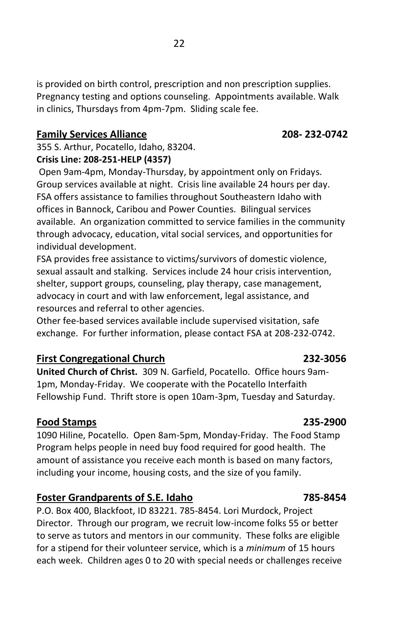is provided on birth control, prescription and non prescription supplies. Pregnancy testing and options counseling. Appointments available. Walk in clinics, Thursdays from 4pm-7pm. Sliding scale fee.

### **Family Services Alliance 208- 232-0742**

355 S. Arthur, Pocatello, Idaho, 83204. **Crisis Line: 208-251-HELP (4357)**

Open 9am-4pm, Monday-Thursday, by appointment only on Fridays. Group services available at night. Crisis line available 24 hours per day. FSA offers assistance to families throughout Southeastern Idaho with offices in Bannock, Caribou and Power Counties. Bilingual services available. An organization committed to service families in the community through advocacy, education, vital social services, and opportunities for individual development.

FSA provides free assistance to victims/survivors of domestic violence, sexual assault and stalking. Services include 24 hour crisis intervention, shelter, support groups, counseling, play therapy, case management, advocacy in court and with law enforcement, legal assistance, and resources and referral to other agencies.

Other fee-based services available include supervised visitation, safe exchange. For further information, please contact FSA at 208-232-0742.

### **First Congregational Church 232-3056**

**United Church of Christ.** 309 N. Garfield, Pocatello. Office hours 9am-1pm, Monday-Friday. We cooperate with the Pocatello Interfaith Fellowship Fund. Thrift store is open 10am-3pm, Tuesday and Saturday.

### **Food Stamps 235-2900**

1090 Hiline, Pocatello. Open 8am-5pm, Monday-Friday. The Food Stamp Program helps people in need buy food required for good health. The amount of assistance you receive each month is based on many factors, including your income, housing costs, and the size of you family.

### **Foster Grandparents of S.E. Idaho 785-8454**

P.O. Box 400, Blackfoot, ID 83221. 785-8454. Lori Murdock, Project Director. Through our program, we recruit low-income folks 55 or better to serve as tutors and mentors in our community. These folks are eligible for a stipend for their volunteer service, which is a *minimum* of 15 hours each week. Children ages 0 to 20 with special needs or challenges receive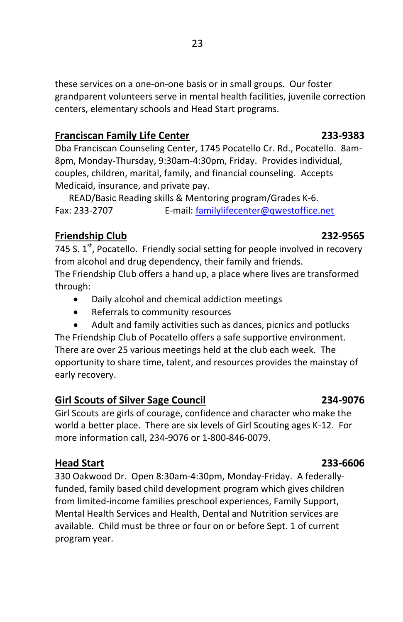these services on a one-on-one basis or in small groups. Our foster grandparent volunteers serve in mental health facilities, juvenile correction centers, elementary schools and Head Start programs.

## **Franciscan Family Life Center 233-9383**

Dba Franciscan Counseling Center, 1745 Pocatello Cr. Rd., Pocatello. 8am-8pm, Monday-Thursday, 9:30am-4:30pm, Friday. Provides individual, couples, children, marital, family, and financial counseling. Accepts Medicaid, insurance, and private pay.

 READ/Basic Reading skills & Mentoring program/Grades K-6. Fax: 233-2707 E-mail: [familylifecenter@qwestoffice.net](mailto:familylifecenter@qwestoffice.net)

## **Friendship Club 232-9565**

745 S.  $1<sup>st</sup>$ , Pocatello. Friendly social setting for people involved in recovery from alcohol and drug dependency, their family and friends. The Friendship Club offers a hand up, a place where lives are transformed through:

- Daily alcohol and chemical addiction meetings
- Referrals to community resources
- Adult and family activities such as dances, picnics and potlucks

The Friendship Club of Pocatello offers a safe supportive environment. There are over 25 various meetings held at the club each week. The opportunity to share time, talent, and resources provides the mainstay of early recovery.

## **Girl Scouts of Silver Sage Council 234-9076**

Girl Scouts are girls of courage, confidence and character who make the world a better place. There are six levels of Girl Scouting ages K-12. For more information call, 234-9076 or 1-800-846-0079.

## **Head Start 233-6606**

330 Oakwood Dr. Open 8:30am-4:30pm, Monday-Friday. A federallyfunded, family based child development program which gives children from limited-income families preschool experiences, Family Support, Mental Health Services and Health, Dental and Nutrition services are available. Child must be three or four on or before Sept. 1 of current program year.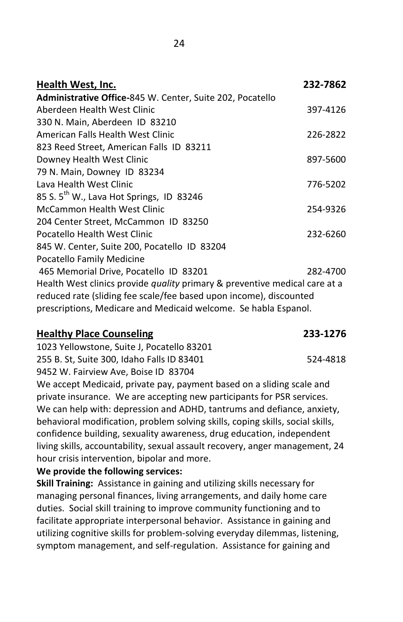| Health West, Inc.                                                                                                                                                                                                          | 232-7862 |
|----------------------------------------------------------------------------------------------------------------------------------------------------------------------------------------------------------------------------|----------|
| Administrative Office-845 W. Center, Suite 202, Pocatello                                                                                                                                                                  |          |
| Aberdeen Health West Clinic                                                                                                                                                                                                | 397-4126 |
| 330 N. Main, Aberdeen ID 83210                                                                                                                                                                                             |          |
| American Falls Health West Clinic                                                                                                                                                                                          | 226-2822 |
| 823 Reed Street, American Falls ID 83211                                                                                                                                                                                   |          |
| Downey Health West Clinic                                                                                                                                                                                                  | 897-5600 |
| 79 N. Main, Downey ID 83234                                                                                                                                                                                                |          |
| Lava Health West Clinic                                                                                                                                                                                                    | 776-5202 |
| 85 S. $5^{\text{th}}$ W., Lava Hot Springs, ID 83246                                                                                                                                                                       |          |
| McCammon Health West Clinic                                                                                                                                                                                                | 254-9326 |
| 204 Center Street, McCammon ID 83250                                                                                                                                                                                       |          |
| Pocatello Health West Clinic                                                                                                                                                                                               | 232-6260 |
| 845 W. Center, Suite 200, Pocatello ID 83204                                                                                                                                                                               |          |
| Pocatello Family Medicine                                                                                                                                                                                                  |          |
| 465 Memorial Drive, Pocatello ID 83201                                                                                                                                                                                     | 282-4700 |
| Health West clinics provide <i>quality</i> primary & preventive medical care at a<br>reduced rate (sliding fee scale/fee based upon income), discounted<br>prescriptions, Medicare and Medicaid welcome. Se habla Espanol. |          |
|                                                                                                                                                                                                                            |          |

### **Healthy Place Counseling 233-1276**

1023 Yellowstone, Suite J, Pocatello 83201 255 B. St, Suite 300, Idaho Falls ID 83401 524-4818 9452 W. Fairview Ave, Boise ID 83704 We accept Medicaid, private pay, payment based on a sliding scale and

private insurance. We are accepting new participants for PSR services. We can help with: depression and ADHD, tantrums and defiance, anxiety, behavioral modification, problem solving skills, coping skills, social skills, confidence building, sexuality awareness, drug education, independent living skills, accountability, sexual assault recovery, anger management, 24 hour crisis intervention, bipolar and more.

**We provide the following services:**

**Skill Training:** Assistance in gaining and utilizing skills necessary for managing personal finances, living arrangements, and daily home care duties. Social skill training to improve community functioning and to facilitate appropriate interpersonal behavior. Assistance in gaining and utilizing cognitive skills for problem-solving everyday dilemmas, listening, symptom management, and self-regulation. Assistance for gaining and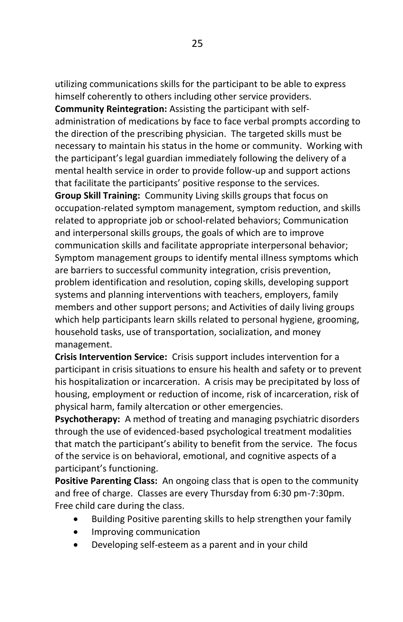utilizing communications skills for the participant to be able to express himself coherently to others including other service providers.

**Community Reintegration:** Assisting the participant with selfadministration of medications by face to face verbal prompts according to the direction of the prescribing physician. The targeted skills must be necessary to maintain his status in the home or community. Working with the participant's legal guardian immediately following the delivery of a mental health service in order to provide follow-up and support actions that facilitate the participants' positive response to the services. **Group Skill Training:** Community Living skills groups that focus on occupation-related symptom management, symptom reduction, and skills related to appropriate job or school-related behaviors; Communication and interpersonal skills groups, the goals of which are to improve communication skills and facilitate appropriate interpersonal behavior; Symptom management groups to identify mental illness symptoms which are barriers to successful community integration, crisis prevention, problem identification and resolution, coping skills, developing support systems and planning interventions with teachers, employers, family members and other support persons; and Activities of daily living groups which help participants learn skills related to personal hygiene, grooming, household tasks, use of transportation, socialization, and money management.

**Crisis Intervention Service:** Crisis support includes intervention for a participant in crisis situations to ensure his health and safety or to prevent his hospitalization or incarceration. A crisis may be precipitated by loss of housing, employment or reduction of income, risk of incarceration, risk of physical harm, family altercation or other emergencies.

**Psychotherapy:** A method of treating and managing psychiatric disorders through the use of evidenced-based psychological treatment modalities that match the participant's ability to benefit from the service. The focus of the service is on behavioral, emotional, and cognitive aspects of a participant's functioning.

**Positive Parenting Class:** An ongoing class that is open to the community and free of charge. Classes are every Thursday from 6:30 pm-7:30pm. Free child care during the class.

- Building Positive parenting skills to help strengthen your family
- Improving communication
- Developing self-esteem as a parent and in your child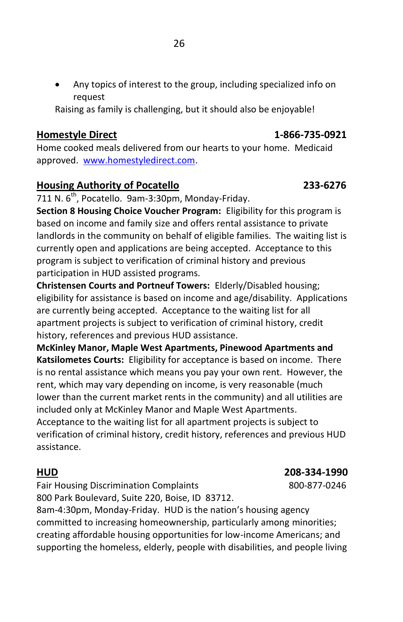Any topics of interest to the group, including specialized info on request

Raising as family is challenging, but it should also be enjoyable!

## **Homestyle Direct 1-866-735-0921**

Home cooked meals delivered from our hearts to your home. Medicaid approved. [www.homestyledirect.com.](http://www.homestyledirect.com/)

## **Housing Authority of Pocatello 233-6276**

711 N.  $6<sup>th</sup>$ , Pocatello. 9am-3:30pm, Monday-Friday.

**Section 8 Housing Choice Voucher Program:** Eligibility for this program is based on income and family size and offers rental assistance to private landlords in the community on behalf of eligible families. The waiting list is currently open and applications are being accepted. Acceptance to this program is subject to verification of criminal history and previous participation in HUD assisted programs.

**Christensen Courts and Portneuf Towers:** Elderly/Disabled housing; eligibility for assistance is based on income and age/disability. Applications are currently being accepted. Acceptance to the waiting list for all apartment projects is subject to verification of criminal history, credit history, references and previous HUD assistance.

**McKinley Manor, Maple West Apartments, Pinewood Apartments and Katsilometes Courts:** Eligibility for acceptance is based on income. There is no rental assistance which means you pay your own rent. However, the rent, which may vary depending on income, is very reasonable (much lower than the current market rents in the community) and all utilities are included only at McKinley Manor and Maple West Apartments. Acceptance to the waiting list for all apartment projects is subject to

verification of criminal history, credit history, references and previous HUD assistance.

**HUD 208-334-1990**

Fair Housing Discrimination Complaints 800-877-0246 800 Park Boulevard, Suite 220, Boise, ID 83712.

8am-4:30pm, Monday-Friday. HUD is the nation's housing agency committed to increasing homeownership, particularly among minorities; creating affordable housing opportunities for low-income Americans; and supporting the homeless, elderly, people with disabilities, and people living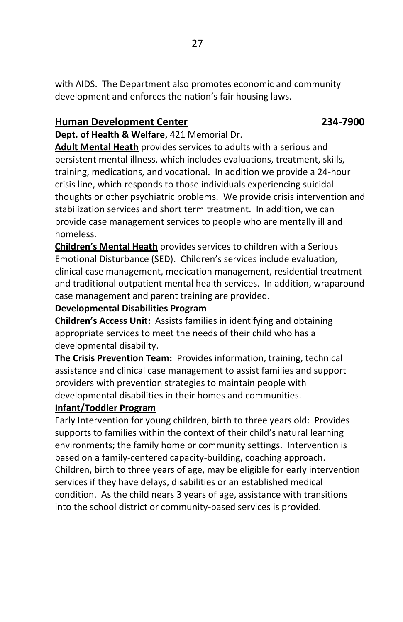with AIDS. The Department also promotes economic and community development and enforces the nation's fair housing laws.

### **Human Development Center 234-7900**

**Dept. of Health & Welfare**, 421 Memorial Dr.

**Adult Mental Heath** provides services to adults with a serious and persistent mental illness, which includes evaluations, treatment, skills, training, medications, and vocational. In addition we provide a 24-hour crisis line, which responds to those individuals experiencing suicidal thoughts or other psychiatric problems. We provide crisis intervention and stabilization services and short term treatment. In addition, we can provide case management services to people who are mentally ill and homeless.

**Children's Mental Heath** provides services to children with a Serious Emotional Disturbance (SED). Children's services include evaluation, clinical case management, medication management, residential treatment and traditional outpatient mental health services. In addition, wraparound case management and parent training are provided.

### **Developmental Disabilities Program**

**Children's Access Unit:** Assists families in identifying and obtaining appropriate services to meet the needs of their child who has a developmental disability.

**The Crisis Prevention Team:** Provides information, training, technical assistance and clinical case management to assist families and support providers with prevention strategies to maintain people with developmental disabilities in their homes and communities.

### **Infant/Toddler Program**

Early Intervention for young children, birth to three years old: Provides supports to families within the context of their child's natural learning environments; the family home or community settings. Intervention is based on a family-centered capacity-building, coaching approach. Children, birth to three years of age, may be eligible for early intervention services if they have delays, disabilities or an established medical condition. As the child nears 3 years of age, assistance with transitions into the school district or community-based services is provided.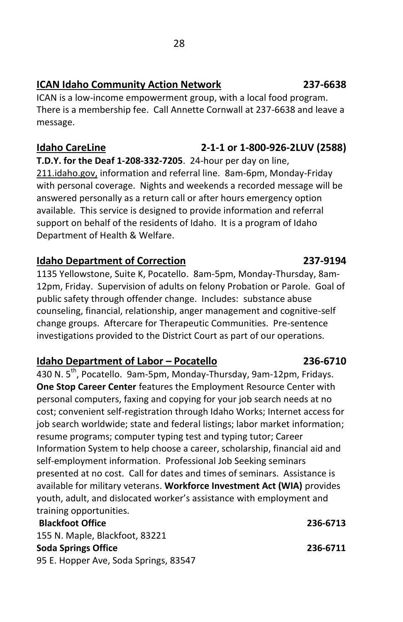## **ICAN Idaho Community Action Network 237-6638**

ICAN is a low-income empowerment group, with a local food program. There is a membership fee. Call Annette Cornwall at 237-6638 and leave a message.

## **Idaho CareLine 2-1-1 or 1-800-926-2LUV (2588) T.D.Y. for the Deaf 1-208-332-7205**. 24-hour per day on line, 211.idaho.gov, information and referral line. 8am-6pm, Monday-Friday with personal coverage. Nights and weekends a recorded message will be answered personally as a return call or after hours emergency option available. This service is designed to provide information and referral support on behalf of the residents of Idaho. It is a program of Idaho Department of Health & Welfare.

### **Idaho Department of Correction 237-9194**

1135 Yellowstone, Suite K, Pocatello. 8am-5pm, Monday-Thursday, 8am-12pm, Friday. Supervision of adults on felony Probation or Parole. Goal of public safety through offender change. Includes: substance abuse counseling, financial, relationship, anger management and cognitive-self change groups. Aftercare for Therapeutic Communities. Pre-sentence investigations provided to the District Court as part of our operations.

### **Idaho Department of Labor – Pocatello 236-6710**

430 N.  $5^{th}$ , Pocatello. 9am-5pm, Monday-Thursday, 9am-12pm, Fridays. **One Stop Career Center** features the Employment Resource Center with personal computers, faxing and copying for your job search needs at no cost; convenient self-registration through Idaho Works; Internet access for job search worldwide; state and federal listings; labor market information; resume programs; computer typing test and typing tutor; Career Information System to help choose a career, scholarship, financial aid and self-employment information. Professional Job Seeking seminars presented at no cost. Call for dates and times of seminars. Assistance is available for military veterans. **Workforce Investment Act (WIA)** provides youth, adult, and dislocated worker's assistance with employment and training opportunities.

### **Blackfoot Office 236-6713**

155 N. Maple, Blackfoot, 83221 **Soda Springs Office 236-6711** 95 E. Hopper Ave, Soda Springs, 83547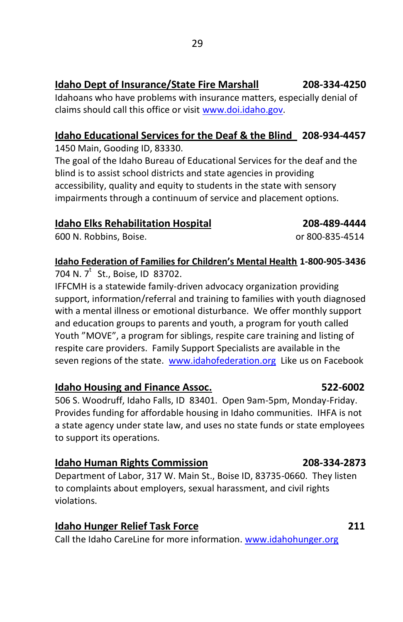## **Idaho Dept of Insurance/State Fire Marshall 208-334-4250**

Idahoans who have problems with insurance matters, especially denial of claims should call this office or visit [www.doi.idaho.gov.](http://www.doi.idaho.gov/)

## **Idaho Educational Services for the Deaf & the Blind 208-934-4457**

1450 Main, Gooding ID, 83330.

The goal of the Idaho Bureau of Educational Services for the deaf and the blind is to assist school districts and state agencies in providing accessibility, quality and equity to students in the state with sensory impairments through a continuum of service and placement options.

### **Idaho Elks Rehabilitation Hospital 208-489-4444**

600 N. Robbins, Boise. or 800-835-4514

## **Idaho Federation of Families for Children's Mental Health 1-800-905-3436**

704 N. 7<sup>t</sup> St., Boise, ID 83702.

IFFCMH is a statewide family-driven advocacy organization providing support, information/referral and training to families with youth diagnosed with a mental illness or emotional disturbance. We offer monthly support and education groups to parents and youth, a program for youth called Youth "MOVE", a program for siblings, respite care training and listing of respite care providers. Family Support Specialists are available in the seven regions of the state. [www.idahofederation.org](http://www.idahofederation.org/) Like us on Facebook

## **Idaho Housing and Finance Assoc. 522-6002**

506 S. Woodruff, Idaho Falls, ID 83401. Open 9am-5pm, Monday-Friday. Provides funding for affordable housing in Idaho communities. IHFA is not a state agency under state law, and uses no state funds or state employees to support its operations.

## **Idaho Human Rights Commission 208-334-2873**

Department of Labor, 317 W. Main St., Boise ID, 83735-0660. They listen to complaints about employers, sexual harassment, and civil rights violations.

Call the Idaho CareLine for more information. [www.idahohunger.org](http://www.idahohunger.org/)

### **Idaho Hunger Relief Task Force 211**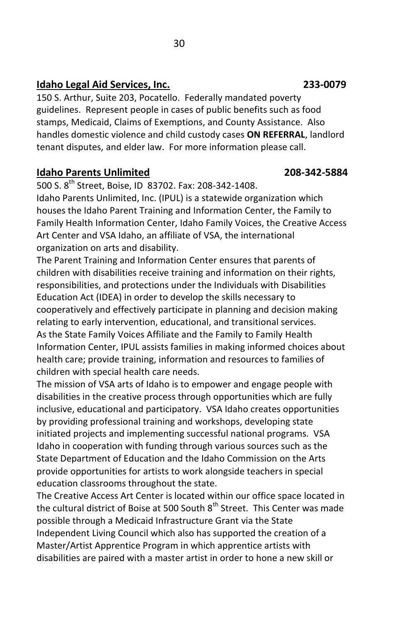### **Idaho Legal Aid Services, Inc. 233-0079**

150 S. Arthur, Suite 203, Pocatello. Federally mandated poverty guidelines. Represent people in cases of public benefits such as food stamps, Medicaid, Claims of Exemptions, and County Assistance. Also handles domestic violence and child custody cases **ON REFERRAL**, landlord tenant disputes, and elder law. For more information please call.

### **Idaho Parents Unlimited 208-342-5884**

500 S. 8<sup>th</sup> Street, Boise, ID 83702, Fax: 208-342-1408.

Idaho Parents Unlimited, Inc. (IPUL) is a statewide organization which houses the Idaho Parent Training and Information Center, the Family to Family Health Information Center, Idaho Family Voices, the Creative Access Art Center and VSA Idaho, an affiliate of VSA, the international organization on arts and disability.

The Parent Training and Information Center ensures that parents of children with disabilities receive training and information on their rights, responsibilities, and protections under the Individuals with Disabilities Education Act (IDEA) in order to develop the skills necessary to cooperatively and effectively participate in planning and decision making relating to early intervention, educational, and transitional services. As the State Family Voices Affiliate and the Family to Family Health Information Center, IPUL assists families in making informed choices about health care; provide training, information and resources to families of children with special health care needs.

The mission of VSA arts of Idaho is to empower and engage people with disabilities in the creative process through opportunities which are fully inclusive, educational and participatory. VSA Idaho creates opportunities by providing professional training and workshops, developing state initiated projects and implementing successful national programs. VSA Idaho in cooperation with funding through various sources such as the State Department of Education and the Idaho Commission on the Arts provide opportunities for artists to work alongside teachers in special education classrooms throughout the state.

The Creative Access Art Center is located within our office space located in the cultural district of Boise at 500 South 8<sup>th</sup> Street. This Center was made possible through a Medicaid Infrastructure Grant via the State Independent Living Council which also has supported the creation of a Master/Artist Apprentice Program in which apprentice artists with disabilities are paired with a master artist in order to hone a new skill or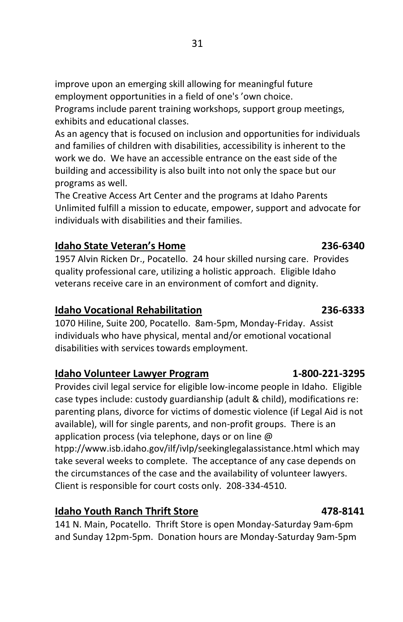improve upon an emerging skill allowing for meaningful future employment opportunities in a field of one's 'own choice.

Programs include parent training workshops, support group meetings, exhibits and educational classes.

As an agency that is focused on inclusion and opportunities for individuals and families of children with disabilities, accessibility is inherent to the work we do. We have an accessible entrance on the east side of the building and accessibility is also built into not only the space but our programs as well.

The Creative Access Art Center and the programs at Idaho Parents Unlimited fulfill a mission to educate, empower, support and advocate for individuals with disabilities and their families.

## **Idaho State Veteran's Home 236-6340**

1957 Alvin Ricken Dr., Pocatello. 24 hour skilled nursing care. Provides quality professional care, utilizing a holistic approach. Eligible Idaho veterans receive care in an environment of comfort and dignity.

## **Idaho Vocational Rehabilitation 236-6333**

1070 Hiline, Suite 200, Pocatello. 8am-5pm, Monday-Friday. Assist individuals who have physical, mental and/or emotional vocational disabilities with services towards employment.

## **Idaho Volunteer Lawyer Program 1-800-221-3295**

Provides civil legal service for eligible low-income people in Idaho. Eligible case types include: custody guardianship (adult & child), modifications re: parenting plans, divorce for victims of domestic violence (if Legal Aid is not available), will for single parents, and non-profit groups. There is an application process (via telephone, days or on line @ htpp://www.isb.idaho.gov/ilf/ivlp/seekinglegalassistance.html which may take several weeks to complete. The acceptance of any case depends on the circumstances of the case and the availability of volunteer lawyers. Client is responsible for court costs only. 208-334-4510.

## **Idaho Youth Ranch Thrift Store 478-8141**

141 N. Main, Pocatello. Thrift Store is open Monday-Saturday 9am-6pm and Sunday 12pm-5pm. Donation hours are Monday-Saturday 9am-5pm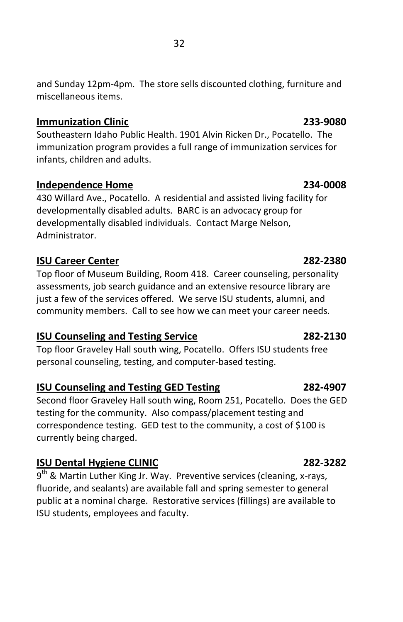### **Immunization Clinic 233-9080**

Southeastern Idaho Public Health. 1901 Alvin Ricken Dr., Pocatello. The immunization program provides a full range of immunization services for infants, children and adults.

## **Independence Home 234-0008**

430 Willard Ave., Pocatello. A residential and assisted living facility for developmentally disabled adults. BARC is an advocacy group for developmentally disabled individuals. Contact Marge Nelson, Administrator.

## **ISU Career Center 282-2380**

Top floor of Museum Building, Room 418. Career counseling, personality assessments, job search guidance and an extensive resource library are just a few of the services offered. We serve ISU students, alumni, and community members. Call to see how we can meet your career needs.

## **ISU Counseling and Testing Service 282-2130**

Top floor Graveley Hall south wing, Pocatello. Offers ISU students free personal counseling, testing, and computer-based testing.

## **ISU Counseling and Testing GED Testing 282-4907**

Second floor Graveley Hall south wing, Room 251, Pocatello. Does the GED testing for the community. Also compass/placement testing and correspondence testing. GED test to the community, a cost of \$100 is currently being charged.

## **ISU Dental Hygiene CLINIC 282-3282**

9<sup>th</sup> & Martin Luther King Jr. Way. Preventive services (cleaning, x-rays, fluoride, and sealants) are available fall and spring semester to general public at a nominal charge. Restorative services (fillings) are available to ISU students, employees and faculty.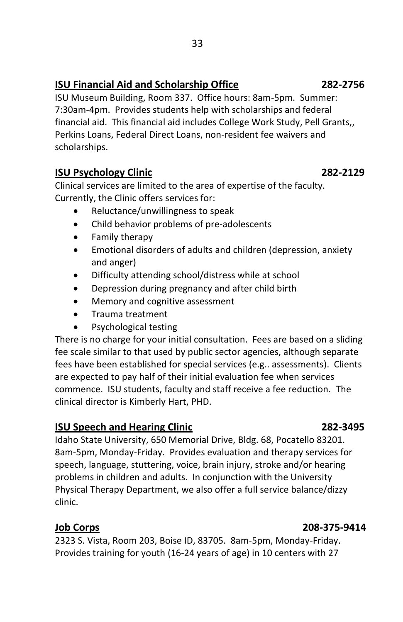## **ISU Financial Aid and Scholarship Office 282-2756**

ISU Museum Building, Room 337. Office hours: 8am-5pm. Summer: 7:30am-4pm. Provides students help with scholarships and federal financial aid. This financial aid includes College Work Study, Pell Grants,, Perkins Loans, Federal Direct Loans, non-resident fee waivers and scholarships.

### **ISU Psychology Clinic 282-2129**

Clinical services are limited to the area of expertise of the faculty. Currently, the Clinic offers services for:

- Reluctance/unwillingness to speak
- Child behavior problems of pre-adolescents
- Family therapy
- Emotional disorders of adults and children (depression, anxiety and anger)
- Difficulty attending school/distress while at school
- Depression during pregnancy and after child birth
- Memory and cognitive assessment
- **•** Trauma treatment
- Psychological testing

There is no charge for your initial consultation. Fees are based on a sliding fee scale similar to that used by public sector agencies, although separate fees have been established for special services (e.g.. assessments). Clients are expected to pay half of their initial evaluation fee when services commence. ISU students, faculty and staff receive a fee reduction. The clinical director is Kimberly Hart, PHD.

## **ISU Speech and Hearing Clinic 282-3495**

Idaho State University, 650 Memorial Drive, Bldg. 68, Pocatello 83201. 8am-5pm, Monday-Friday. Provides evaluation and therapy services for speech, language, stuttering, voice, brain injury, stroke and/or hearing problems in children and adults. In conjunction with the University Physical Therapy Department, we also offer a full service balance/dizzy clinic.

## **Job Corps 208-375-9414**

2323 S. Vista, Room 203, Boise ID, 83705. 8am-5pm, Monday-Friday. Provides training for youth (16-24 years of age) in 10 centers with 27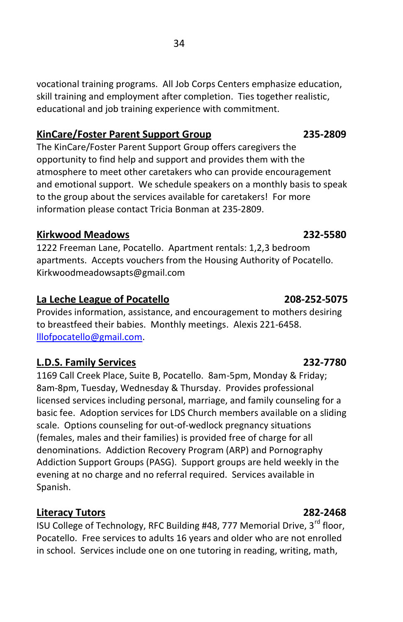vocational training programs. All Job Corps Centers emphasize education, skill training and employment after completion. Ties together realistic, educational and job training experience with commitment.

## **KinCare/Foster Parent Support Group 235-2809**

The KinCare/Foster Parent Support Group offers caregivers the opportunity to find help and support and provides them with the atmosphere to meet other caretakers who can provide encouragement and emotional support. We schedule speakers on a monthly basis to speak to the group about the services available for caretakers! For more information please contact Tricia Bonman at 235-2809.

## **Kirkwood Meadows 232-5580**

1222 Freeman Lane, Pocatello. Apartment rentals: 1,2,3 bedroom apartments. Accepts vouchers from the Housing Authority of Pocatello. Kirkwoodmeadowsapts@gmail.com

## **La Leche League of Pocatello 208-252-5075**

Provides information, assistance, and encouragement to mothers desiring to breastfeed their babies. Monthly meetings. Alexis 221-6458. [lllofpocatello@gmail.com.](mailto:lllofpocatello@gmail.com)

## **L.D.S. Family Services 232-7780**

1169 Call Creek Place, Suite B, Pocatello. 8am-5pm, Monday & Friday; 8am-8pm, Tuesday, Wednesday & Thursday. Provides professional licensed services including personal, marriage, and family counseling for a basic fee. Adoption services for LDS Church members available on a sliding scale. Options counseling for out-of-wedlock pregnancy situations (females, males and their families) is provided free of charge for all denominations. Addiction Recovery Program (ARP) and Pornography Addiction Support Groups (PASG). Support groups are held weekly in the evening at no charge and no referral required. Services available in Spanish.

## **Literacy Tutors 282-2468**

ISU College of Technology, RFC Building #48, 777 Memorial Drive, 3<sup>rd</sup> floor, Pocatello. Free services to adults 16 years and older who are not enrolled in school. Services include one on one tutoring in reading, writing, math,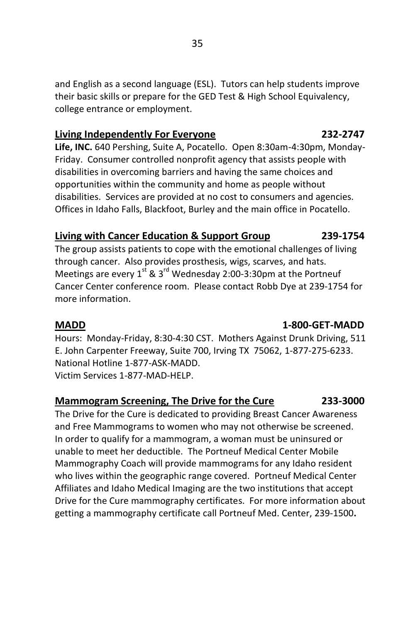and English as a second language (ESL). Tutors can help students improve their basic skills or prepare for the GED Test & High School Equivalency, college entrance or employment.

### **Living Independently For Everyone 232-2747**

**Life, INC.** 640 Pershing, Suite A, Pocatello. Open 8:30am-4:30pm, Monday-Friday. Consumer controlled nonprofit agency that assists people with disabilities in overcoming barriers and having the same choices and opportunities within the community and home as people without disabilities. Services are provided at no cost to consumers and agencies. Offices in Idaho Falls, Blackfoot, Burley and the main office in Pocatello.

## **Living with Cancer Education & Support Group 239-1754**

The group assists patients to cope with the emotional challenges of living through cancer. Also provides prosthesis, wigs, scarves, and hats. Meetings are every  $1^{st}$  &  $3^{rd}$  Wednesday 2:00-3:30pm at the Portneuf Cancer Center conference room. Please contact Robb Dye at 239-1754 for more information.

### **MADD 1-800-GET-MADD**

Hours: Monday-Friday, 8:30-4:30 CST. Mothers Against Drunk Driving, 511 E. John Carpenter Freeway, Suite 700, Irving TX 75062, 1-877-275-6233. National Hotline 1-877-ASK-MADD. Victim Services 1-877-MAD-HELP.

## **Mammogram Screening, The Drive for the Cure 233-3000**

The Drive for the Cure is dedicated to providing Breast Cancer Awareness and Free Mammograms to women who may not otherwise be screened. In order to qualify for a mammogram, a woman must be uninsured or unable to meet her deductible. The Portneuf Medical Center Mobile Mammography Coach will provide mammograms for any Idaho resident who lives within the geographic range covered. Portneuf Medical Center Affiliates and Idaho Medical Imaging are the two institutions that accept Drive for the Cure mammography certificates. For more information about getting a mammography certificate call Portneuf Med. Center, 239-1500**.**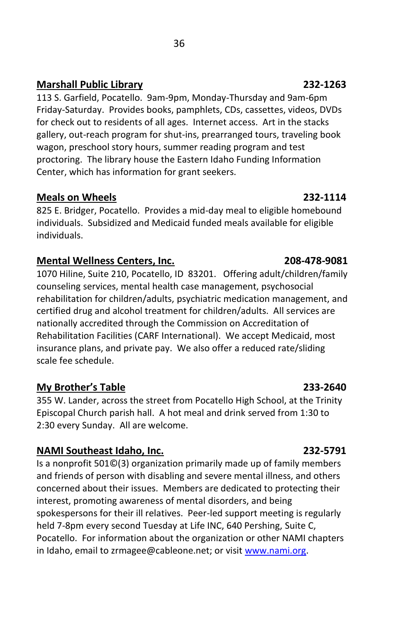## **Marshall Public Library 232-1263**

113 S. Garfield, Pocatello. 9am-9pm, Monday-Thursday and 9am-6pm Friday-Saturday. Provides books, pamphlets, CDs, cassettes, videos, DVDs for check out to residents of all ages. Internet access. Art in the stacks gallery, out-reach program for shut-ins, prearranged tours, traveling book wagon, preschool story hours, summer reading program and test proctoring. The library house the Eastern Idaho Funding Information Center, which has information for grant seekers.

## **Meals on Wheels 232-1114**

825 E. Bridger, Pocatello. Provides a mid-day meal to eligible homebound individuals. Subsidized and Medicaid funded meals available for eligible individuals.

## **Mental Wellness Centers, Inc. 208-478-9081**

1070 Hiline, Suite 210, Pocatello, ID 83201. Offering adult/children/family counseling services, mental health case management, psychosocial rehabilitation for children/adults, psychiatric medication management, and certified drug and alcohol treatment for children/adults. All services are nationally accredited through the Commission on Accreditation of Rehabilitation Facilities (CARF International). We accept Medicaid, most insurance plans, and private pay. We also offer a reduced rate/sliding scale fee schedule.

## **My Brother's Table 233-2640**

355 W. Lander, across the street from Pocatello High School, at the Trinity Episcopal Church parish hall. A hot meal and drink served from 1:30 to 2:30 every Sunday. All are welcome.

## **NAMI Southeast Idaho, Inc. 232-5791**

Is a nonprofit 501©(3) organization primarily made up of family members and friends of person with disabling and severe mental illness, and others concerned about their issues. Members are dedicated to protecting their interest, promoting awareness of mental disorders, and being spokespersons for their ill relatives. Peer-led support meeting is regularly held 7-8pm every second Tuesday at Life INC, 640 Pershing, Suite C, Pocatello. For information about the organization or other NAMI chapters in Idaho, email to zrmagee@cableone.net; or visi[t www.nami.org.](http://www.nami.org/)

### <u>36 and 2012 and 2013</u>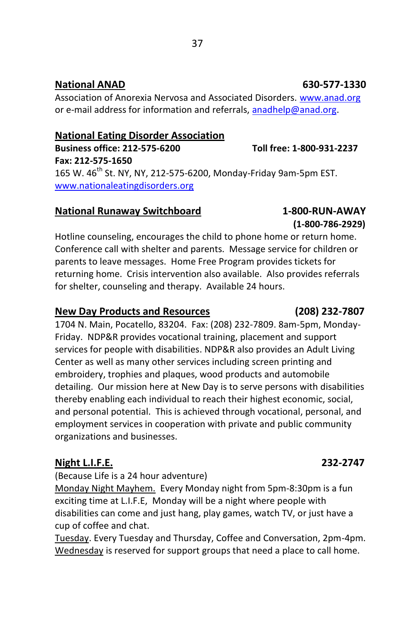## **National ANAD 630-577-1330**

Association of Anorexia Nervosa and Associated Disorders. [www.anad.org](http://www.anad.org/) or e-mail address for information and referrals, [anadhelp@anad.org.](mailto:anadhelp@anad.org)

## **National Eating Disorder Association**

**Business office: 212-575-6200 Toll free: 1-800-931-2237**

**Fax: 212-575-1650** 165 W. 46<sup>th</sup> St. NY, NY, 212-575-6200, Monday-Friday 9am-5pm EST. [www.nationaleatingdisorders.org](http://www.nationaleatingdisorders.org/)

## **National Runaway Switchboard 1-800-RUN-AWAY**

 **(1-800-786-2929)** Hotline counseling, encourages the child to phone home or return home. Conference call with shelter and parents. Message service for children or parents to leave messages. Home Free Program provides tickets for returning home. Crisis intervention also available. Also provides referrals for shelter, counseling and therapy. Available 24 hours.

## **New Day Products and Resources (208) 232-7807**

1704 N. Main, Pocatello, 83204. Fax: (208) 232-7809. 8am-5pm, Monday-Friday. NDP&R provides vocational training, placement and support services for people with disabilities. NDP&R also provides an Adult Living Center as well as many other services including screen printing and embroidery, trophies and plaques, wood products and automobile detailing. Our mission here at New Day is to serve persons with disabilities thereby enabling each individual to reach their highest economic, social, and personal potential. This is achieved through vocational, personal, and employment services in cooperation with private and public community organizations and businesses.

## **Night L.I.F.E. 232-2747**

(Because Life is a 24 hour adventure)

Monday Night Mayhem. Every Monday night from 5pm-8:30pm is a fun exciting time at L.I.F.E, Monday will be a night where people with disabilities can come and just hang, play games, watch TV, or just have a cup of coffee and chat.

Tuesday. Every Tuesday and Thursday, Coffee and Conversation, 2pm-4pm. Wednesday is reserved for support groups that need a place to call home.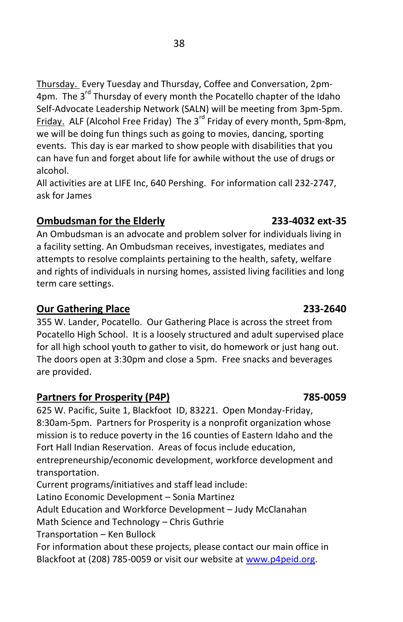Thursday. Every Tuesday and Thursday, Coffee and Conversation, 2pm-4pm. The 3<sup>rd</sup> Thursday of every month the Pocatello chapter of the Idaho Self-Advocate Leadership Network (SALN) will be meeting from 3pm-5pm. Friday. ALF (Alcohol Free Friday) The  $3^{rd}$  Friday of every month, 5pm-8pm, we will be doing fun things such as going to movies, dancing, sporting events. This day is ear marked to show people with disabilities that you can have fun and forget about life for awhile without the use of drugs or alcohol.

All activities are at LIFE Inc, 640 Pershing. For information call 232-2747, ask for James

## **Ombudsman for the Elderly 233-4032 ext-35**

An Ombudsman is an advocate and problem solver for individuals living in a facility setting. An Ombudsman receives, investigates, mediates and attempts to resolve complaints pertaining to the health, safety, welfare and rights of individuals in nursing homes, assisted living facilities and long term care settings.

## **Our Gathering Place 233-2640**

355 W. Lander, Pocatello. Our Gathering Place is across the street from Pocatello High School. It is a loosely structured and adult supervised place for all high school youth to gather to visit, do homework or just hang out. The doors open at 3:30pm and close a 5pm. Free snacks and beverages are provided.

## **Partners for Prosperity (P4P) 785-0059**

625 W. Pacific, Suite 1, Blackfoot ID, 83221. Open Monday-Friday, 8:30am-5pm. Partners for Prosperity is a nonprofit organization whose mission is to reduce poverty in the 16 counties of Eastern Idaho and the Fort Hall Indian Reservation. Areas of focus include education, entrepreneurship/economic development, workforce development and transportation.

Current programs/initiatives and staff lead include:

Latino Economic Development – Sonia Martinez

Adult Education and Workforce Development – Judy McClanahan

Math Science and Technology – Chris Guthrie

Transportation – Ken Bullock

For information about these projects, please contact our main office in Blackfoot at (208) 785-0059 or visit our website a[t www.p4peid.org.](http://www.p4peid.org/)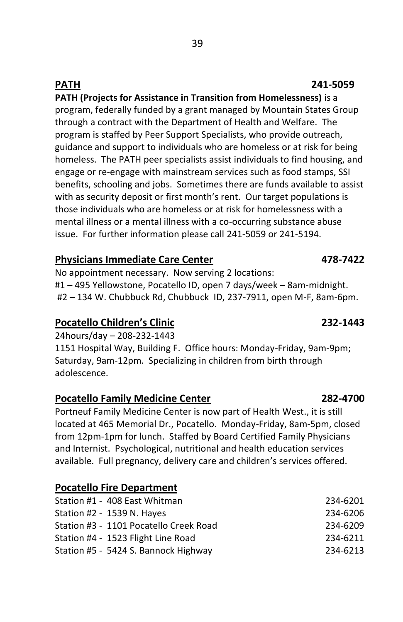## **PATH (Projects for Assistance in Transition from Homelessness)** is a program, federally funded by a grant managed by Mountain States Group through a contract with the Department of Health and Welfare. The program is staffed by Peer Support Specialists, who provide outreach, guidance and support to individuals who are homeless or at risk for being homeless. The PATH peer specialists assist individuals to find housing, and engage or re-engage with mainstream services such as food stamps, SSI benefits, schooling and jobs. Sometimes there are funds available to assist with as security deposit or first month's rent. Our target populations is those individuals who are homeless or at risk for homelessness with a mental illness or a mental illness with a co-occurring substance abuse issue. For further information please call 241-5059 or 241-5194.

## **Physicians Immediate Care Center 478-7422**

No appointment necessary. Now serving 2 locations: #1 – 495 Yellowstone, Pocatello ID, open 7 days/week – 8am-midnight. #2 – 134 W. Chubbuck Rd, Chubbuck ID, 237-7911, open M-F, 8am-6pm.

## **Pocatello Children's Clinic 232-1443**

24hours/day – 208-232-1443

1151 Hospital Way, Building F. Office hours: Monday-Friday, 9am-9pm; Saturday, 9am-12pm. Specializing in children from birth through adolescence.

## **Pocatello Family Medicine Center 282-4700**

Portneuf Family Medicine Center is now part of Health West., it is still located at 465 Memorial Dr., Pocatello. Monday-Friday, 8am-5pm, closed from 12pm-1pm for lunch. Staffed by Board Certified Family Physicians and Internist. Psychological, nutritional and health education services available. Full pregnancy, delivery care and children's services offered.

## **Pocatello Fire Department**

| Station #1 - 408 East Whitman          | 234-6201 |
|----------------------------------------|----------|
| Station #2 - 1539 N. Hayes             | 234-6206 |
| Station #3 - 1101 Pocatello Creek Road | 234-6209 |
| Station #4 - 1523 Flight Line Road     | 234-6211 |
| Station #5 - 5424 S. Bannock Highway   | 234-6213 |

## **PATH 241-5059**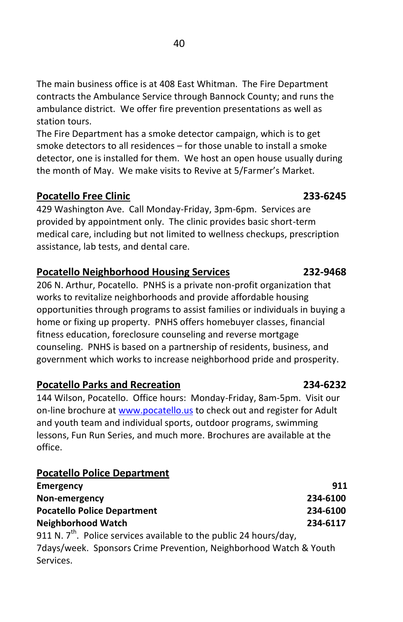The main business office is at 408 East Whitman. The Fire Department contracts the Ambulance Service through Bannock County; and runs the ambulance district. We offer fire prevention presentations as well as station tours.

The Fire Department has a smoke detector campaign, which is to get smoke detectors to all residences – for those unable to install a smoke detector, one is installed for them. We host an open house usually during the month of May. We make visits to Revive at 5/Farmer's Market.

## **Pocatello Free Clinic 233-6245**

429 Washington Ave. Call Monday-Friday, 3pm-6pm. Services are provided by appointment only. The clinic provides basic short-term medical care, including but not limited to wellness checkups, prescription assistance, lab tests, and dental care.

## **Pocatello Neighborhood Housing Services 232-9468**

206 N. Arthur, Pocatello. PNHS is a private non-profit organization that works to revitalize neighborhoods and provide affordable housing opportunities through programs to assist families or individuals in buying a home or fixing up property. PNHS offers homebuyer classes, financial fitness education, foreclosure counseling and reverse mortgage counseling. PNHS is based on a partnership of residents, business, and government which works to increase neighborhood pride and prosperity.

## **Pocatello Parks and Recreation 234-6232**

144 Wilson, Pocatello. Office hours: Monday-Friday, 8am-5pm. Visit our on-line brochure a[t www.pocatello.us](http://www.pocatello.us/) to check out and register for Adult and youth team and individual sports, outdoor programs, swimming lessons, Fun Run Series, and much more. Brochures are available at the office.

## **Pocatello Police Department**

| Emergency                          | 911      |
|------------------------------------|----------|
| Non-emergency                      | 234-6100 |
| <b>Pocatello Police Department</b> | 234-6100 |
| Neighborhood Watch                 | 234-6117 |
|                                    |          |

911 N.  $7^{\prime\prime}$ . Police services available to the public 24 hours/day, 7days/week. Sponsors Crime Prevention, Neighborhood Watch & Youth Services.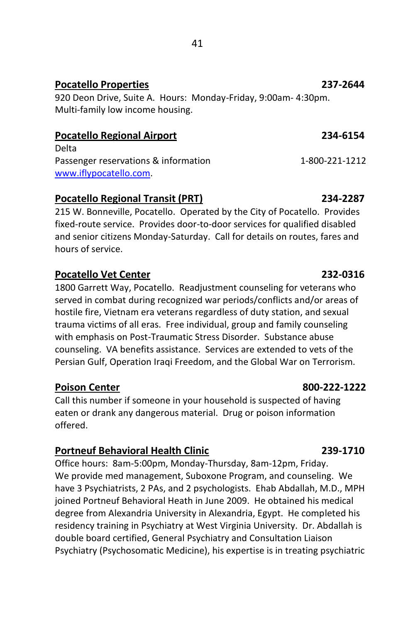### 41

### **Pocatello Properties 237-2644**

920 Deon Drive, Suite A. Hours: Monday-Friday, 9:00am- 4:30pm. Multi-family low income housing.

## **Pocatello Regional Airport 234-6154**

Delta Passenger reservations & information 1-800-221-1212 [www.iflypocatello.com.](http://www.iflypocatello.com/)

## **Pocatello Regional Transit (PRT) 234-2287**

215 W. Bonneville, Pocatello. Operated by the City of Pocatello. Provides fixed-route service. Provides door-to-door services for qualified disabled and senior citizens Monday-Saturday. Call for details on routes, fares and hours of service.

## Pocatello Vet Center 232-0316

1800 Garrett Way, Pocatello. Readjustment counseling for veterans who served in combat during recognized war periods/conflicts and/or areas of hostile fire, Vietnam era veterans regardless of duty station, and sexual trauma victims of all eras. Free individual, group and family counseling with emphasis on Post-Traumatic Stress Disorder. Substance abuse counseling. VA benefits assistance. Services are extended to vets of the Persian Gulf, Operation Iraqi Freedom, and the Global War on Terrorism.

## **Poison Center 800-222-1222**

Call this number if someone in your household is suspected of having eaten or drank any dangerous material. Drug or poison information offered.

## **Portneuf Behavioral Health Clinic 239-1710**

Office hours: 8am-5:00pm, Monday-Thursday, 8am-12pm, Friday. We provide med management, Suboxone Program, and counseling. We have 3 Psychiatrists, 2 PAs, and 2 psychologists. Ehab Abdallah, M.D., MPH joined Portneuf Behavioral Heath in June 2009. He obtained his medical degree from Alexandria University in Alexandria, Egypt. He completed his residency training in Psychiatry at West Virginia University. Dr. Abdallah is double board certified, General Psychiatry and Consultation Liaison Psychiatry (Psychosomatic Medicine), his expertise is in treating psychiatric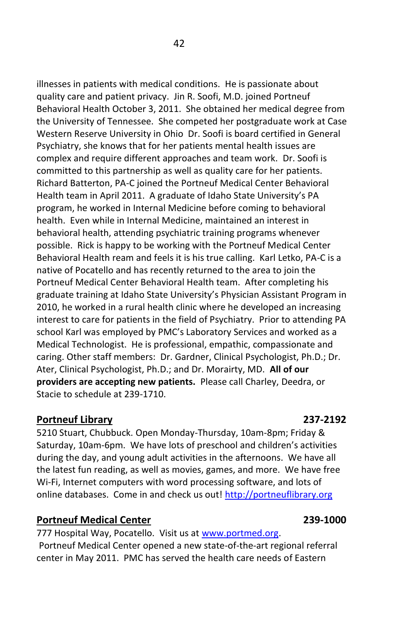illnesses in patients with medical conditions. He is passionate about quality care and patient privacy. Jin R. Soofi, M.D. joined Portneuf Behavioral Health October 3, 2011. She obtained her medical degree from the University of Tennessee. She competed her postgraduate work at Case Western Reserve University in Ohio Dr. Soofi is board certified in General Psychiatry, she knows that for her patients mental health issues are complex and require different approaches and team work. Dr. Soofi is committed to this partnership as well as quality care for her patients. Richard Batterton, PA-C joined the Portneuf Medical Center Behavioral Health team in April 2011. A graduate of Idaho State University's PA program, he worked in Internal Medicine before coming to behavioral health. Even while in Internal Medicine, maintained an interest in behavioral health, attending psychiatric training programs whenever possible. Rick is happy to be working with the Portneuf Medical Center Behavioral Health ream and feels it is his true calling. Karl Letko, PA-C is a native of Pocatello and has recently returned to the area to join the Portneuf Medical Center Behavioral Health team. After completing his graduate training at Idaho State University's Physician Assistant Program in 2010, he worked in a rural health clinic where he developed an increasing interest to care for patients in the field of Psychiatry. Prior to attending PA school Karl was employed by PMC's Laboratory Services and worked as a Medical Technologist. He is professional, empathic, compassionate and caring. Other staff members: Dr. Gardner, Clinical Psychologist, Ph.D.; Dr. Ater, Clinical Psychologist, Ph.D.; and Dr. Morairty, MD. **All of our providers are accepting new patients.** Please call Charley, Deedra, or Stacie to schedule at 239-1710.

## **Portneuf Library 237-2192**

5210 Stuart, Chubbuck. Open Monday-Thursday, 10am-8pm; Friday & Saturday, 10am-6pm. We have lots of preschool and children's activities during the day, and young adult activities in the afternoons. We have all the latest fun reading, as well as movies, games, and more. We have free Wi-Fi, Internet computers with word processing software, and lots of online databases. Come in and check us out! [http://portneuflibrary.org](http://portneuflibrary.org/)

## **Portneuf Medical Center 239-1000**

777 Hospital Way, Pocatello. Visit us at [www.portmed.org.](http://www.portmed.org/) Portneuf Medical Center opened a new state-of-the-art regional referral center in May 2011. PMC has served the health care needs of Eastern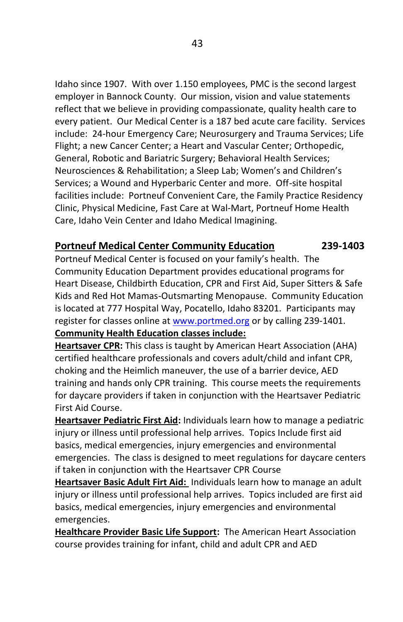Idaho since 1907. With over 1.150 employees, PMC is the second largest employer in Bannock County. Our mission, vision and value statements reflect that we believe in providing compassionate, quality health care to every patient. Our Medical Center is a 187 bed acute care facility. Services include: 24-hour Emergency Care; Neurosurgery and Trauma Services; Life Flight; a new Cancer Center; a Heart and Vascular Center; Orthopedic, General, Robotic and Bariatric Surgery; Behavioral Health Services; Neurosciences & Rehabilitation; a Sleep Lab; Women's and Children's Services; a Wound and Hyperbaric Center and more. Off-site hospital facilities include: Portneuf Convenient Care, the Family Practice Residency Clinic, Physical Medicine, Fast Care at Wal-Mart, Portneuf Home Health Care, Idaho Vein Center and Idaho Medical Imagining.

## **Portneuf Medical Center Community Education 239-1403**

Portneuf Medical Center is focused on your family's health. The Community Education Department provides educational programs for Heart Disease, Childbirth Education, CPR and First Aid, Super Sitters & Safe Kids and Red Hot Mamas-Outsmarting Menopause. Community Education is located at 777 Hospital Way, Pocatello, Idaho 83201. Participants may register for classes online at [www.portmed.org](http://www.portmed.org/) or by calling 239-1401.

### **Community Health Education classes include:**

**Heartsaver CPR:** This class is taught by American Heart Association (AHA) certified healthcare professionals and covers adult/child and infant CPR, choking and the Heimlich maneuver, the use of a barrier device, AED training and hands only CPR training. This course meets the requirements for daycare providers if taken in conjunction with the Heartsaver Pediatric First Aid Course.

**Heartsaver Pediatric First Aid:** Individuals learn how to manage a pediatric injury or illness until professional help arrives. Topics Include first aid basics, medical emergencies, injury emergencies and environmental emergencies. The class is designed to meet regulations for daycare centers if taken in conjunction with the Heartsaver CPR Course

**Heartsaver Basic Adult Firt Aid:** Individuals learn how to manage an adult injury or illness until professional help arrives. Topics included are first aid basics, medical emergencies, injury emergencies and environmental emergencies.

**Healthcare Provider Basic Life Support:** The American Heart Association course provides training for infant, child and adult CPR and AED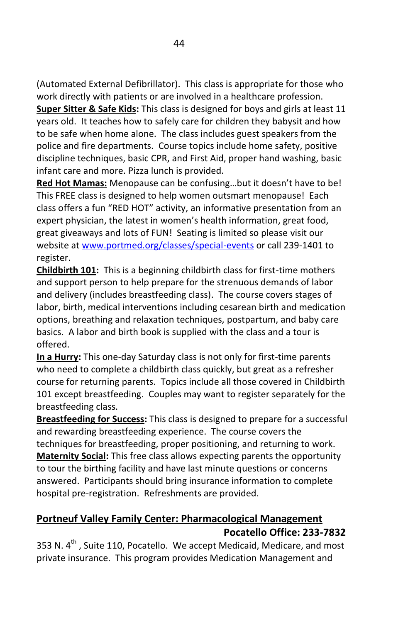(Automated External Defibrillator). This class is appropriate for those who work directly with patients or are involved in a healthcare profession.

**Super Sitter & Safe Kids:** This class is designed for boys and girls at least 11 years old. It teaches how to safely care for children they babysit and how to be safe when home alone. The class includes guest speakers from the police and fire departments. Course topics include home safety, positive discipline techniques, basic CPR, and First Aid, proper hand washing, basic infant care and more. Pizza lunch is provided.

**Red Hot Mamas:** Menopause can be confusing…but it doesn't have to be! This FREE class is designed to help women outsmart menopause! Each class offers a fun "RED HOT" activity, an informative presentation from an expert physician, the latest in women's health information, great food, great giveaways and lots of FUN! Seating is limited so please visit our website a[t www.portmed.org/classes/special-events](http://www.portmed.org/classes/special-events) or call 239-1401 to register.

**Childbirth 101:** This is a beginning childbirth class for first-time mothers and support person to help prepare for the strenuous demands of labor and delivery (includes breastfeeding class). The course covers stages of labor, birth, medical interventions including cesarean birth and medication options, breathing and relaxation techniques, postpartum, and baby care basics. A labor and birth book is supplied with the class and a tour is offered.

**In a Hurry:** This one-day Saturday class is not only for first-time parents who need to complete a childbirth class quickly, but great as a refresher course for returning parents. Topics include all those covered in Childbirth 101 except breastfeeding. Couples may want to register separately for the breastfeeding class.

**Breastfeeding for Success:** This class is designed to prepare for a successful and rewarding breastfeeding experience. The course covers the techniques for breastfeeding, proper positioning, and returning to work. **Maternity Social:** This free class allows expecting parents the opportunity to tour the birthing facility and have last minute questions or concerns answered. Participants should bring insurance information to complete hospital pre-registration. Refreshments are provided.

## **Portneuf Valley Family Center: Pharmacological Management Pocatello Office: 233-7832**

353 N.  $4^{th}$ , Suite 110, Pocatello. We accept Medicaid, Medicare, and most private insurance. This program provides Medication Management and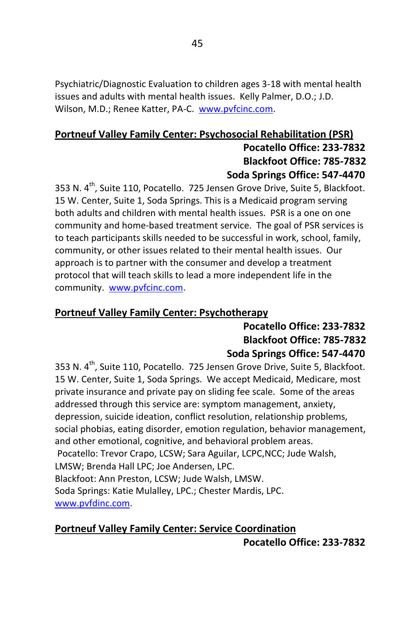Psychiatric/Diagnostic Evaluation to children ages 3-18 with mental health issues and adults with mental health issues. Kelly Palmer, D.O.; J.D. Wilson, M.D.; Renee Katter, PA-C. www.pvfcinc.com.

## **Portneuf Valley Family Center: Psychosocial Rehabilitation (PSR) Pocatello Office: 233-7832 Blackfoot Office: 785-7832 Soda Springs Office: 547-4470**

353 N. 4<sup>th</sup>, Suite 110, Pocatello. 725 Jensen Grove Drive, Suite 5, Blackfoot. 15 W. Center, Suite 1, Soda Springs. This is a Medicaid program serving both adults and children with mental health issues. PSR is a one on one community and home-based treatment service. The goal of PSR services is to teach participants skills needed to be successful in work, school, family, community, or other issues related to their mental health issues. Our approach is to partner with the consumer and develop a treatment protocol that will teach skills to lead a more independent life in the community. [www.pvfcinc.com.](http://www.pvfcinc.com/)

## **Portneuf Valley Family Center: Psychotherapy**

## **Pocatello Office: 233-7832 Blackfoot Office: 785-7832 Soda Springs Office: 547-4470**

353 N. 4<sup>th</sup>, Suite 110, Pocatello. 725 Jensen Grove Drive, Suite 5, Blackfoot. 15 W. Center, Suite 1, Soda Springs. We accept Medicaid, Medicare, most private insurance and private pay on sliding fee scale. Some of the areas addressed through this service are: symptom management, anxiety, depression, suicide ideation, conflict resolution, relationship problems, social phobias, eating disorder, emotion regulation, behavior management, and other emotional, cognitive, and behavioral problem areas. Pocatello: Trevor Crapo, LCSW; Sara Aguilar, LCPC,NCC; Jude Walsh, LMSW; Brenda Hall LPC; Joe Andersen, LPC. Blackfoot: Ann Preston, LCSW; Jude Walsh, LMSW. Soda Springs: Katie Mulalley, LPC.; Chester Mardis, LPC. [www.pvfdinc.com.](http://www.pvfdinc.com/)

## **Portneuf Valley Family Center: Service Coordination**

 **Pocatello Office: 233-7832**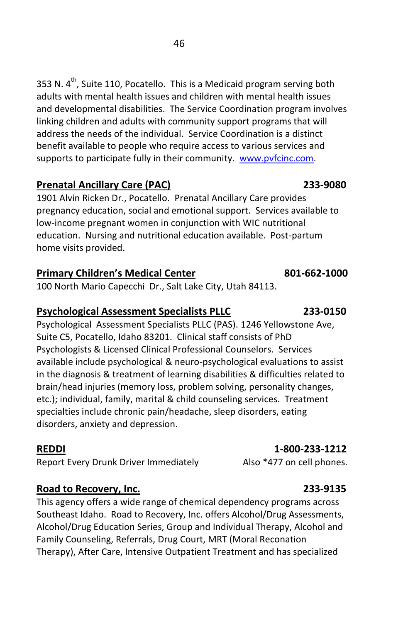353 N.  $4^{th}$ , Suite 110, Pocatello. This is a Medicaid program serving both adults with mental health issues and children with mental health issues and developmental disabilities. The Service Coordination program involves linking children and adults with community support programs that will address the needs of the individual. Service Coordination is a distinct benefit available to people who require access to various services and supports to participate fully in their community. www.pvfcinc.com.

## **Prenatal Ancillary Care (PAC) 233-9080**

1901 Alvin Ricken Dr., Pocatello. Prenatal Ancillary Care provides pregnancy education, social and emotional support. Services available to low-income pregnant women in conjunction with WIC nutritional education. Nursing and nutritional education available. Post-partum home visits provided.

## **Primary Children's Medical Center 801-662-1000**

100 North Mario Capecchi Dr., Salt Lake City, Utah 84113.

## **Psychological Assessment Specialists PLLC 233-0150**

Psychological Assessment Specialists PLLC (PAS). 1246 Yellowstone Ave, Suite C5, Pocatello, Idaho 83201. Clinical staff consists of PhD Psychologists & Licensed Clinical Professional Counselors. Services available include psychological & neuro-psychological evaluations to assist in the diagnosis & treatment of learning disabilities & difficulties related to brain/head injuries (memory loss, problem solving, personality changes, etc.); individual, family, marital & child counseling services. Treatment specialties include chronic pain/headache, sleep disorders, eating disorders, anxiety and depression.

Report Every Drunk Driver Immediately Also \*477 on cell phones.

## **Road to Recovery, Inc. 233-9135**

This agency offers a wide range of chemical dependency programs across Southeast Idaho. Road to Recovery, Inc. offers Alcohol/Drug Assessments, Alcohol/Drug Education Series, Group and Individual Therapy, Alcohol and Family Counseling, Referrals, Drug Court, MRT (Moral Reconation Therapy), After Care, Intensive Outpatient Treatment and has specialized

## **REDDI 1-800-233-1212**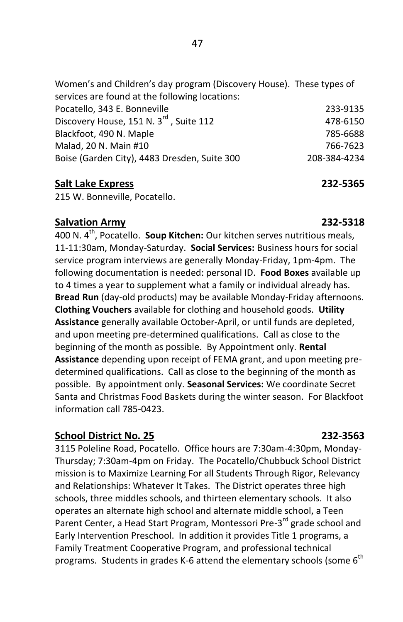| Women's and Children's day program (Discovery House). These types of |              |
|----------------------------------------------------------------------|--------------|
| services are found at the following locations:                       |              |
| Pocatello, 343 E. Bonneville                                         | 233-9135     |
| Discovery House, 151 N. 3 <sup>rd</sup> , Suite 112                  | 478-6150     |
| Blackfoot, 490 N. Maple                                              | 785-6688     |
| Malad, 20 N. Main #10                                                | 766-7623     |
| Boise (Garden City), 4483 Dresden, Suite 300                         | 208-384-4234 |
|                                                                      |              |

### **Salt Lake Express 232-5365**

215 W. Bonneville, Pocatello.

### **Salvation Army 232-5318**

400 N. 4th, Pocatello. **Soup Kitchen:** Our kitchen serves nutritious meals, 11-11:30am, Monday-Saturday. **Social Services:** Business hours for social service program interviews are generally Monday-Friday, 1pm-4pm. The following documentation is needed: personal ID. **Food Boxes** available up to 4 times a year to supplement what a family or individual already has. **Bread Run** (day-old products) may be available Monday-Friday afternoons. **Clothing Vouchers** available for clothing and household goods. **Utility Assistance** generally available October-April, or until funds are depleted, and upon meeting pre-determined qualifications. Call as close to the beginning of the month as possible. By Appointment only. **Rental Assistance** depending upon receipt of FEMA grant, and upon meeting predetermined qualifications. Call as close to the beginning of the month as possible. By appointment only. **Seasonal Services:** We coordinate Secret Santa and Christmas Food Baskets during the winter season. For Blackfoot information call 785-0423.

## **School District No. 25 232-3563**

3115 Poleline Road, Pocatello. Office hours are 7:30am-4:30pm, Monday-Thursday; 7:30am-4pm on Friday. The Pocatello/Chubbuck School District mission is to Maximize Learning For all Students Through Rigor, Relevancy and Relationships: Whatever It Takes. The District operates three high schools, three middles schools, and thirteen elementary schools. It also operates an alternate high school and alternate middle school, a Teen Parent Center, a Head Start Program, Montessori Pre-3<sup>rd</sup> grade school and Early Intervention Preschool. In addition it provides Title 1 programs, a Family Treatment Cooperative Program, and professional technical programs. Students in grades K-6 attend the elementary schools (some  $6<sup>th</sup>$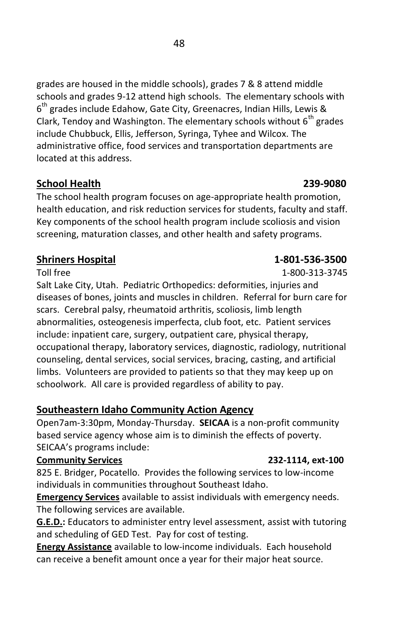grades are housed in the middle schools), grades 7 & 8 attend middle schools and grades 9-12 attend high schools. The elementary schools with 6<sup>th</sup> grades include Edahow, Gate City, Greenacres, Indian Hills, Lewis & Clark, Tendoy and Washington. The elementary schools without  $6<sup>th</sup>$  grades include Chubbuck, Ellis, Jefferson, Syringa, Tyhee and Wilcox. The administrative office, food services and transportation departments are located at this address.

## **School Health 239-9080**

The school health program focuses on age-appropriate health promotion, health education, and risk reduction services for students, faculty and staff. Key components of the school health program include scoliosis and vision screening, maturation classes, and other health and safety programs.

## **Shriners Hospital 1-801-536-3500**

Salt Lake City, Utah. Pediatric Orthopedics: deformities, injuries and diseases of bones, joints and muscles in children. Referral for burn care for scars. Cerebral palsy, rheumatoid arthritis, scoliosis, limb length abnormalities, osteogenesis imperfecta, club foot, etc. Patient services include: inpatient care, surgery, outpatient care, physical therapy, occupational therapy, laboratory services, diagnostic, radiology, nutritional counseling, dental services, social services, bracing, casting, and artificial limbs. Volunteers are provided to patients so that they may keep up on schoolwork. All care is provided regardless of ability to pay.

## **Southeastern Idaho Community Action Agency**

Open7am-3:30pm, Monday-Thursday. **SEICAA** is a non-profit community based service agency whose aim is to diminish the effects of poverty. SEICAA's programs include:

### **Community Services 232-1114, ext-100**

825 E. Bridger, Pocatello. Provides the following services to low-income individuals in communities throughout Southeast Idaho.

**Emergency Services** available to assist individuals with emergency needs. The following services are available.

**G.E.D.:** Educators to administer entry level assessment, assist with tutoring and scheduling of GED Test. Pay for cost of testing.

**Energy Assistance** available to low-income individuals. Each household can receive a benefit amount once a year for their major heat source.

Toll free 200-313-3745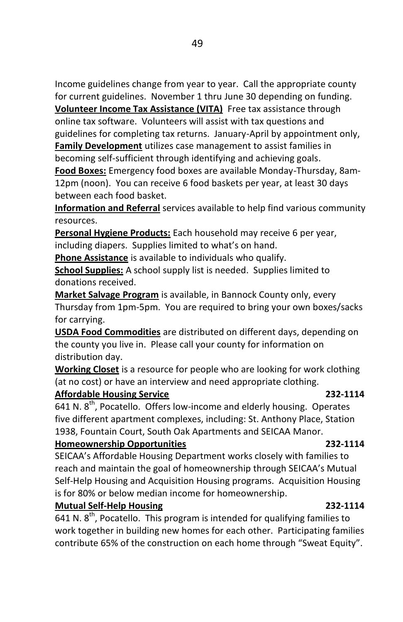Income guidelines change from year to year. Call the appropriate county for current guidelines. November 1 thru June 30 depending on funding.

**Volunteer Income Tax Assistance (VITA)** Free tax assistance through online tax software. Volunteers will assist with tax questions and guidelines for completing tax returns. January-April by appointment only, **Family Development** utilizes case management to assist families in becoming self-sufficient through identifying and achieving goals.

**Food Boxes:** Emergency food boxes are available Monday-Thursday, 8am-12pm (noon). You can receive 6 food baskets per year, at least 30 days between each food basket.

**Information and Referral** services available to help find various community resources.

**Personal Hygiene Products:** Each household may receive 6 per year, including diapers. Supplies limited to what's on hand.

**Phone Assistance** is available to individuals who qualify.

**School Supplies:** A school supply list is needed. Supplies limited to donations received.

**Market Salvage Program** is available, in Bannock County only, every Thursday from 1pm-5pm. You are required to bring your own boxes/sacks for carrying.

**USDA Food Commodities** are distributed on different days, depending on the county you live in. Please call your county for information on distribution day.

**Working Closet** is a resource for people who are looking for work clothing (at no cost) or have an interview and need appropriate clothing.

## **Affordable Housing Service 232-1114**

641 N.  $8^{th}$ , Pocatello. Offers low-income and elderly housing. Operates five different apartment complexes, including: St. Anthony Place, Station 1938, Fountain Court, South Oak Apartments and SEICAA Manor.

### **Homeownership Opportunities 232-1114**

SEICAA's Affordable Housing Department works closely with families to reach and maintain the goal of homeownership through SEICAA's Mutual Self-Help Housing and Acquisition Housing programs. Acquisition Housing is for 80% or below median income for homeownership.

## **Mutual Self-Help Housing 232-1114**

641 N.  $8^{th}$ , Pocatello. This program is intended for qualifying families to work together in building new homes for each other. Participating families contribute 65% of the construction on each home through "Sweat Equity".

### 49 and the contract of the contract of the contract of the contract of the contract of the contract of the con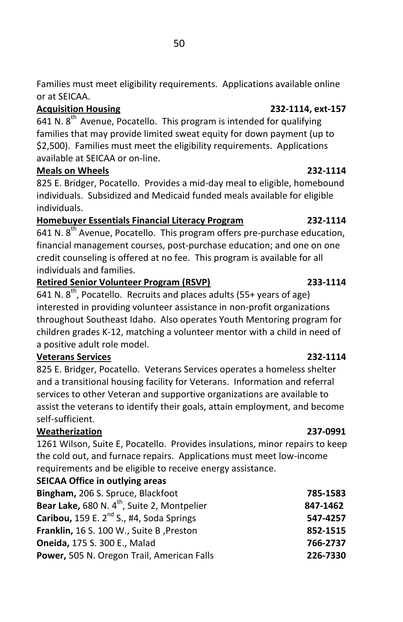Families must meet eligibility requirements. Applications available online or at SEICAA.

## **Acquisition Housing 232-1114, ext-157**

641 N.  $8<sup>th</sup>$  Avenue, Pocatello. This program is intended for qualifying families that may provide limited sweat equity for down payment (up to \$2,500). Families must meet the eligibility requirements. Applications available at SEICAA or on-line.

## **Meals on Wheels 232-1114**

825 E. Bridger, Pocatello. Provides a mid-day meal to eligible, homebound individuals. Subsidized and Medicaid funded meals available for eligible individuals.

## **Homebuyer Essentials Financial Literacy Program 232-1114**

641 N.  $8^{th}$  Avenue, Pocatello. This program offers pre-purchase education, financial management courses, post-purchase education; and one on one credit counseling is offered at no fee. This program is available for all individuals and families.

## **Retired Senior Volunteer Program (RSVP) 233-1114**

641 N.  $8^{th}$ , Pocatello. Recruits and places adults (55+ years of age) interested in providing volunteer assistance in non-profit organizations throughout Southeast Idaho. Also operates Youth Mentoring program for children grades K-12, matching a volunteer mentor with a child in need of a positive adult role model.

## **Veterans Services 232-1114**

825 E. Bridger, Pocatello. Veterans Services operates a homeless shelter and a transitional housing facility for Veterans. Information and referral services to other Veteran and supportive organizations are available to assist the veterans to identify their goals, attain employment, and become self-sufficient.

## **Weatherization 237-0991**

1261 Wilson, Suite E, Pocatello. Provides insulations, minor repairs to keep the cold out, and furnace repairs. Applications must meet low-income requirements and be eligible to receive energy assistance.

## **SEICAA Office in outlying areas**

| 785-1583 |
|----------|
| 847-1462 |
| 547-4257 |
| 852-1515 |
| 766-2737 |
| 226-7330 |
|          |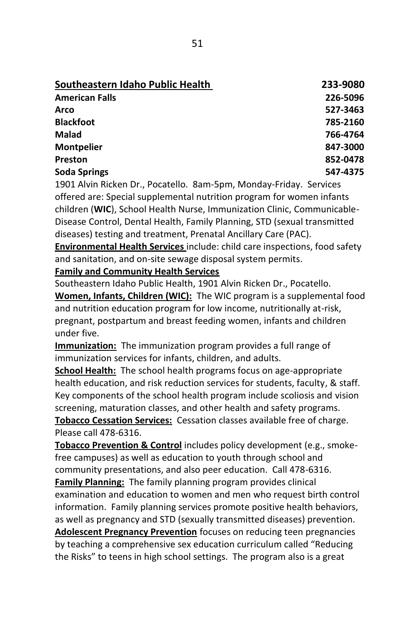| Southeastern Idaho Public Health | 233-9080 |
|----------------------------------|----------|
| <b>American Falls</b>            | 226-5096 |
| Arco                             | 527-3463 |
| <b>Blackfoot</b>                 | 785-2160 |
| Malad                            | 766-4764 |
| <b>Montpelier</b>                | 847-3000 |
| Preston                          | 852-0478 |
| <b>Soda Springs</b>              | 547-4375 |

1901 Alvin Ricken Dr., Pocatello. 8am-5pm, Monday-Friday. Services offered are: Special supplemental nutrition program for women infants children (**WIC**), School Health Nurse, Immunization Clinic, Communicable-Disease Control, Dental Health, Family Planning, STD (sexual transmitted diseases) testing and treatment, Prenatal Ancillary Care (PAC).

**Environmental Health Services** include: child care inspections, food safety and sanitation, and on-site sewage disposal system permits.

**Family and Community Health Services**

Southeastern Idaho Public Health, 1901 Alvin Ricken Dr., Pocatello. **Women, Infants, Children (WIC):** The WIC program is a supplemental food and nutrition education program for low income, nutritionally at-risk, pregnant, postpartum and breast feeding women, infants and children under five.

**Immunization:** The immunization program provides a full range of immunization services for infants, children, and adults.

**School Health:** The school health programs focus on age-appropriate health education, and risk reduction services for students, faculty, & staff. Key components of the school health program include scoliosis and vision screening, maturation classes, and other health and safety programs. **Tobacco Cessation Services:** Cessation classes available free of charge. Please call 478-6316.

**Tobacco Prevention & Control** includes policy development (e.g., smokefree campuses) as well as education to youth through school and community presentations, and also peer education. Call 478-6316.

**Family Planning:** The family planning program provides clinical examination and education to women and men who request birth control information. Family planning services promote positive health behaviors, as well as pregnancy and STD (sexually transmitted diseases) prevention. **Adolescent Pregnancy Prevention** focuses on reducing teen pregnancies by teaching a comprehensive sex education curriculum called "Reducing the Risks" to teens in high school settings. The program also is a great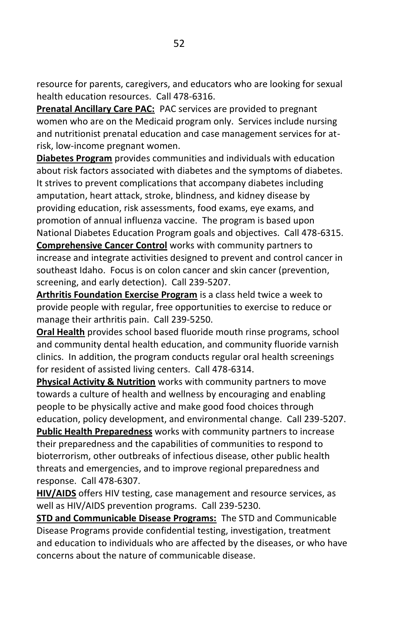resource for parents, caregivers, and educators who are looking for sexual health education resources. Call 478-6316.

**Prenatal Ancillary Care PAC:** PAC services are provided to pregnant women who are on the Medicaid program only. Services include nursing and nutritionist prenatal education and case management services for atrisk, low-income pregnant women.

**Diabetes Program** provides communities and individuals with education about risk factors associated with diabetes and the symptoms of diabetes. It strives to prevent complications that accompany diabetes including amputation, heart attack, stroke, blindness, and kidney disease by providing education, risk assessments, food exams, eye exams, and promotion of annual influenza vaccine. The program is based upon National Diabetes Education Program goals and objectives. Call 478-6315. **Comprehensive Cancer Control** works with community partners to increase and integrate activities designed to prevent and control cancer in southeast Idaho. Focus is on colon cancer and skin cancer (prevention, screening, and early detection). Call 239-5207.

**Arthritis Foundation Exercise Program** is a class held twice a week to provide people with regular, free opportunities to exercise to reduce or manage their arthritis pain. Call 239-5250.

**Oral Health** provides school based fluoride mouth rinse programs, school and community dental health education, and community fluoride varnish clinics. In addition, the program conducts regular oral health screenings for resident of assisted living centers. Call 478-6314.

**Physical Activity & Nutrition** works with community partners to move towards a culture of health and wellness by encouraging and enabling people to be physically active and make good food choices through education, policy development, and environmental change. Call 239-5207. **Public Health Preparedness** works with community partners to increase their preparedness and the capabilities of communities to respond to bioterrorism, other outbreaks of infectious disease, other public health threats and emergencies, and to improve regional preparedness and response. Call 478-6307.

**HIV/AIDS** offers HIV testing, case management and resource services, as well as HIV/AIDS prevention programs. Call 239-5230.

**STD and Communicable Disease Programs:** The STD and Communicable Disease Programs provide confidential testing, investigation, treatment and education to individuals who are affected by the diseases, or who have concerns about the nature of communicable disease.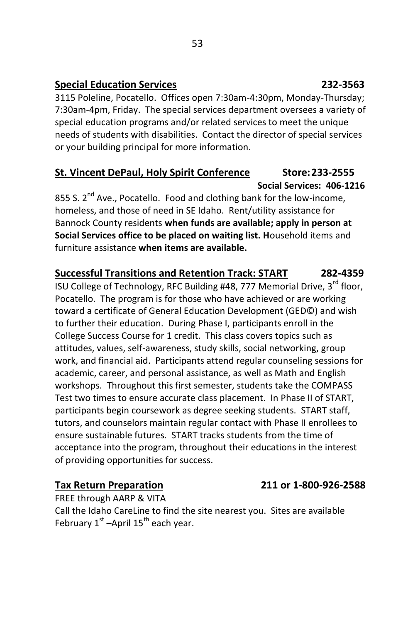## **Special Education Services 232-3563**

3115 Poleline, Pocatello. Offices open 7:30am-4:30pm, Monday-Thursday; 7:30am-4pm, Friday. The special services department oversees a variety of special education programs and/or related services to meet the unique needs of students with disabilities. Contact the director of special services or your building principal for more information.

## **St. Vincent DePaul, Holy Spirit Conference Store:233-2555 Social Services: 406-1216**

855 S.  $2^{nd}$  Ave., Pocatello. Food and clothing bank for the low-income, homeless, and those of need in SE Idaho. Rent/utility assistance for Bannock County residents **when funds are available; apply in person at Social Services office to be placed on waiting list. H**ousehold items and furniture assistance **when items are available.**

## **Successful Transitions and Retention Track: START 282-4359**

ISU College of Technology, RFC Building #48, 777 Memorial Drive, 3<sup>rd</sup> floor, Pocatello. The program is for those who have achieved or are working toward a certificate of General Education Development (GED©) and wish to further their education. During Phase I, participants enroll in the College Success Course for 1 credit. This class covers topics such as attitudes, values, self-awareness, study skills, social networking, group work, and financial aid. Participants attend regular counseling sessions for academic, career, and personal assistance, as well as Math and English workshops. Throughout this first semester, students take the COMPASS Test two times to ensure accurate class placement. In Phase II of START, participants begin coursework as degree seeking students. START staff, tutors, and counselors maintain regular contact with Phase II enrollees to ensure sustainable futures. START tracks students from the time of acceptance into the program, throughout their educations in the interest of providing opportunities for success.

## **Tax Return Preparation 211 or 1-800-926-2588**

FREE through AARP & VITA Call the Idaho CareLine to find the site nearest you. Sites are available February 1<sup>st</sup> –April 15<sup>th</sup> each year.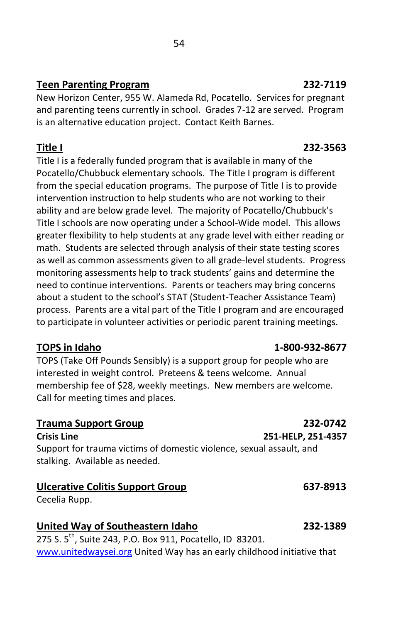## **Teen Parenting Program 232-7119**

New Horizon Center, 955 W. Alameda Rd, Pocatello. Services for pregnant and parenting teens currently in school. Grades 7-12 are served. Program is an alternative education project. Contact Keith Barnes.

Title I is a federally funded program that is available in many of the Pocatello/Chubbuck elementary schools. The Title I program is different from the special education programs. The purpose of Title I is to provide intervention instruction to help students who are not working to their ability and are below grade level. The majority of Pocatello/Chubbuck's Title I schools are now operating under a School-Wide model. This allows greater flexibility to help students at any grade level with either reading or math. Students are selected through analysis of their state testing scores as well as common assessments given to all grade-level students. Progress monitoring assessments help to track students' gains and determine the need to continue interventions. Parents or teachers may bring concerns about a student to the school's STAT (Student-Teacher Assistance Team) process. Parents are a vital part of the Title I program and are encouraged to participate in volunteer activities or periodic parent training meetings.

## **TOPS in Idaho 1-800-932-8677**

TOPS (Take Off Pounds Sensibly) is a support group for people who are interested in weight control. Preteens & teens welcome. Annual membership fee of \$28, weekly meetings. New members are welcome. Call for meeting times and places.

## **Trauma Support Group 232-0742**

Support for trauma victims of domestic violence, sexual assault, and stalking. Available as needed.

## **Ulcerative Colitis Support Group 637-8913**

Cecelia Rupp.

**United Way of Southeastern Idaho 232-1389** 275 S. 5<sup>th</sup>, Suite 243, P.O. Box 911, Pocatello, ID 83201. [www.unitedwaysei.org](http://www.unitedwaysei.org/) United Way has an early childhood initiative that

## **Title I 232-3563**

## **Crisis Line 251-HELP, 251-4357**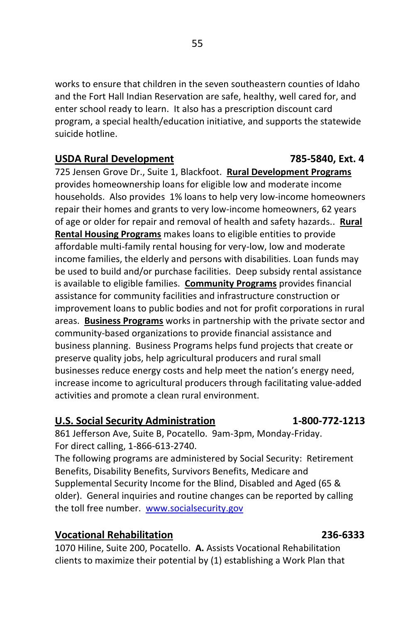works to ensure that children in the seven southeastern counties of Idaho and the Fort Hall Indian Reservation are safe, healthy, well cared for, and enter school ready to learn. It also has a prescription discount card program, a special health/education initiative, and supports the statewide suicide hotline.

### USDA Rural Development **1986** 1895-5840, Ext. 4

725 Jensen Grove Dr., Suite 1, Blackfoot. **Rural Development Programs** provides homeownership loans for eligible low and moderate income households. Also provides 1% loans to help very low-income homeowners repair their homes and grants to very low-income homeowners, 62 years of age or older for repair and removal of health and safety hazards.. **Rural Rental Housing Programs** makes loans to eligible entities to provide affordable multi-family rental housing for very-low, low and moderate income families, the elderly and persons with disabilities. Loan funds may be used to build and/or purchase facilities. Deep subsidy rental assistance is available to eligible families. **Community Programs** provides financial assistance for community facilities and infrastructure construction or improvement loans to public bodies and not for profit corporations in rural areas. **Business Programs** works in partnership with the private sector and community-based organizations to provide financial assistance and business planning. Business Programs helps fund projects that create or preserve quality jobs, help agricultural producers and rural small businesses reduce energy costs and help meet the nation's energy need, increase income to agricultural producers through facilitating value-added activities and promote a clean rural environment.

### **U.S. Social Security Administration 1-800-772-1213**

861 Jefferson Ave, Suite B, Pocatello. 9am-3pm, Monday-Friday. For direct calling, 1-866-613-2740.

The following programs are administered by Social Security: Retirement Benefits, Disability Benefits, Survivors Benefits, Medicare and Supplemental Security Income for the Blind, Disabled and Aged (65 & older). General inquiries and routine changes can be reported by calling the toll free number. [www.socialsecurity.gov](http://www.socialsecurity.gov/)

## **Vocational Rehabilitation 236-6333**

1070 Hiline, Suite 200, Pocatello. **A.** Assists Vocational Rehabilitation clients to maximize their potential by (1) establishing a Work Plan that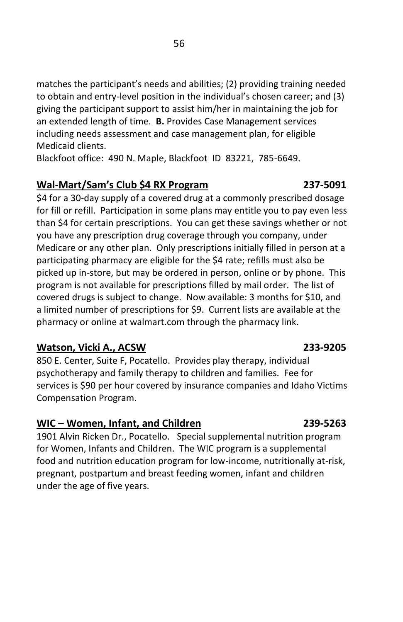matches the participant's needs and abilities; (2) providing training needed to obtain and entry-level position in the individual's chosen career; and (3) giving the participant support to assist him/her in maintaining the job for an extended length of time. **B.** Provides Case Management services including needs assessment and case management plan, for eligible Medicaid clients.

Blackfoot office: 490 N. Maple, Blackfoot ID 83221, 785-6649.

### **Wal-Mart/Sam's Club \$4 RX Program 237-5091**

\$4 for a 30-day supply of a covered drug at a commonly prescribed dosage for fill or refill. Participation in some plans may entitle you to pay even less than \$4 for certain prescriptions. You can get these savings whether or not you have any prescription drug coverage through you company, under Medicare or any other plan. Only prescriptions initially filled in person at a participating pharmacy are eligible for the \$4 rate; refills must also be picked up in-store, but may be ordered in person, online or by phone. This program is not available for prescriptions filled by mail order. The list of covered drugs is subject to change. Now available: 3 months for \$10, and a limited number of prescriptions for \$9. Current lists are available at the pharmacy or online at walmart.com through the pharmacy link.

## **Watson, Vicki A., ACSW 233-9205**

850 E. Center, Suite F, Pocatello. Provides play therapy, individual psychotherapy and family therapy to children and families. Fee for services is \$90 per hour covered by insurance companies and Idaho Victims Compensation Program.

## **WIC – Women, Infant, and Children 239-5263**

1901 Alvin Ricken Dr., Pocatello. Special supplemental nutrition program for Women, Infants and Children. The WIC program is a supplemental food and nutrition education program for low-income, nutritionally at-risk, pregnant, postpartum and breast feeding women, infant and children under the age of five years.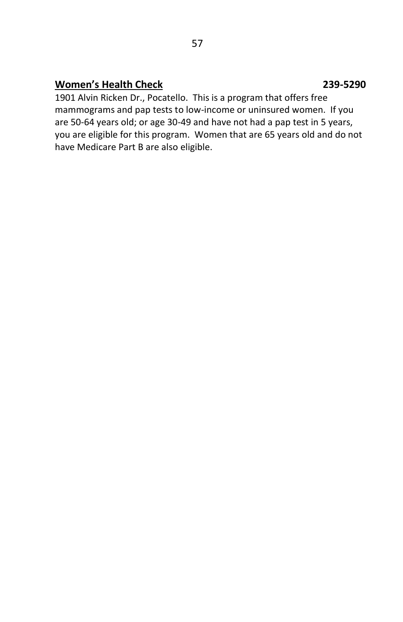## **Women's Health Check 239-5290**

## 1901 Alvin Ricken Dr., Pocatello. This is a program that offers free mammograms and pap tests to low-income or uninsured women. If you are 50-64 years old; or age 30-49 and have not had a pap test in 5 years, you are eligible for this program. Women that are 65 years old and do not have Medicare Part B are also eligible.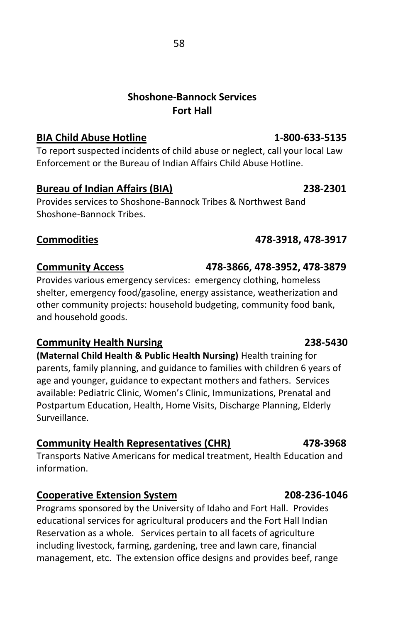## **Shoshone-Bannock Services Fort Hall**

### **BIA Child Abuse Hotline 1-800-633-5135**

To report suspected incidents of child abuse or neglect, call your local Law Enforcement or the Bureau of Indian Affairs Child Abuse Hotline.

### **Bureau of Indian Affairs (BIA) 238-2301**

Provides services to Shoshone-Bannock Tribes & Northwest Band Shoshone-Bannock Tribes.

## **Commodities 478-3918, 478-3917**

## **Community Access 478-3866, 478-3952, 478-3879**

Provides various emergency services: emergency clothing, homeless shelter, emergency food/gasoline, energy assistance, weatherization and other community projects: household budgeting, community food bank, and household goods.

## **Community Health Nursing 238-5430**

**(Maternal Child Health & Public Health Nursing)** Health training for parents, family planning, and guidance to families with children 6 years of age and younger, guidance to expectant mothers and fathers. Services available: Pediatric Clinic, Women's Clinic, Immunizations, Prenatal and Postpartum Education, Health, Home Visits, Discharge Planning, Elderly Surveillance.

## **Community Health Representatives (CHR) 478-3968**

Transports Native Americans for medical treatment, Health Education and information.

## **Cooperative Extension System 208-236-1046**

Programs sponsored by the University of Idaho and Fort Hall. Provides educational services for agricultural producers and the Fort Hall Indian Reservation as a whole. Services pertain to all facets of agriculture including livestock, farming, gardening, tree and lawn care, financial management, etc. The extension office designs and provides beef, range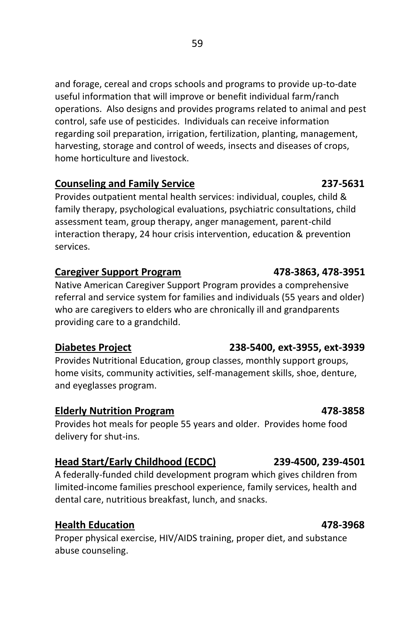and forage, cereal and crops schools and programs to provide up-to-date useful information that will improve or benefit individual farm/ranch operations. Also designs and provides programs related to animal and pest control, safe use of pesticides. Individuals can receive information regarding soil preparation, irrigation, fertilization, planting, management, harvesting, storage and control of weeds, insects and diseases of crops, home horticulture and livestock.

## **Counseling and Family Service 237-5631**

Provides outpatient mental health services: individual, couples, child & family therapy, psychological evaluations, psychiatric consultations, child assessment team, group therapy, anger management, parent-child interaction therapy, 24 hour crisis intervention, education & prevention services.

## **Caregiver Support Program 478-3863, 478-3951**

Native American Caregiver Support Program provides a comprehensive referral and service system for families and individuals (55 years and older) who are caregivers to elders who are chronically ill and grandparents providing care to a grandchild.

## **Diabetes Project 238-5400, ext-3955, ext-3939**

Provides Nutritional Education, group classes, monthly support groups, home visits, community activities, self-management skills, shoe, denture, and eyeglasses program.

## **Elderly Nutrition Program 478-3858**

Provides hot meals for people 55 years and older. Provides home food delivery for shut-ins.

## **Head Start/Early Childhood (ECDC) 239-4500, 239-4501**

A federally-funded child development program which gives children from limited-income families preschool experience, family services, health and dental care, nutritious breakfast, lunch, and snacks.

## **Health Education 478-3968**

Proper physical exercise, HIV/AIDS training, proper diet, and substance abuse counseling.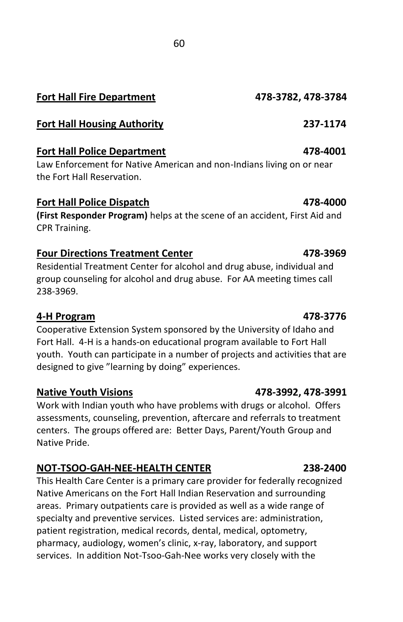## **Fort Hall Fire Department 478-3782, 478-3784**

## **Fort Hall Housing Authority 237-1174**

## **Fort Hall Police Department 478-4001**

Law Enforcement for Native American and non-Indians living on or near the Fort Hall Reservation.

## **Fort Hall Police Dispatch 478-4000**

**(First Responder Program)** helps at the scene of an accident, First Aid and CPR Training.

## **Four Directions Treatment Center 478-3969**

Residential Treatment Center for alcohol and drug abuse, individual and group counseling for alcohol and drug abuse. For AA meeting times call 238-3969.

## **4-H Program 478-3776**

Cooperative Extension System sponsored by the University of Idaho and Fort Hall. 4-H is a hands-on educational program available to Fort Hall youth. Youth can participate in a number of projects and activities that are designed to give "learning by doing" experiences.

## **Native Youth Visions 478-3992, 478-3991**

Work with Indian youth who have problems with drugs or alcohol. Offers assessments, counseling, prevention, aftercare and referrals to treatment centers. The groups offered are: Better Days, Parent/Youth Group and Native Pride.

## **NOT-TSOO-GAH-NEE-HEALTH CENTER 238-2400**

This Health Care Center is a primary care provider for federally recognized Native Americans on the Fort Hall Indian Reservation and surrounding areas. Primary outpatients care is provided as well as a wide range of specialty and preventive services. Listed services are: administration, patient registration, medical records, dental, medical, optometry, pharmacy, audiology, women's clinic, x-ray, laboratory, and support services. In addition Not-Tsoo-Gah-Nee works very closely with the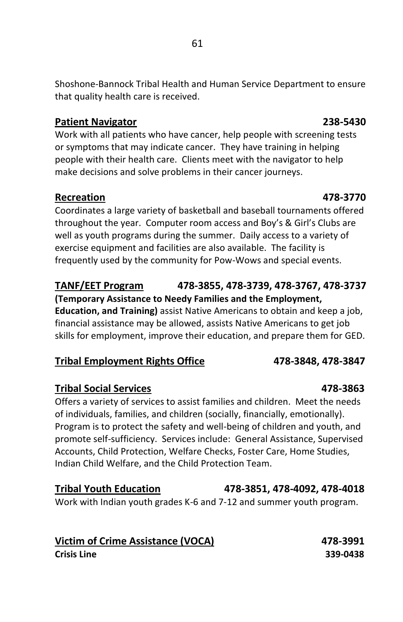Shoshone-Bannock Tribal Health and Human Service Department to ensure that quality health care is received.

### **Patient Navigator 238-5430**

Work with all patients who have cancer, help people with screening tests or symptoms that may indicate cancer. They have training in helping people with their health care. Clients meet with the navigator to help make decisions and solve problems in their cancer journeys.

### **Recreation 478-3770**

Coordinates a large variety of basketball and baseball tournaments offered throughout the year. Computer room access and Boy's & Girl's Clubs are well as youth programs during the summer. Daily access to a variety of exercise equipment and facilities are also available. The facility is frequently used by the community for Pow-Wows and special events.

## **TANF/EET Program 478-3855, 478-3739, 478-3767, 478-3737**

**(Temporary Assistance to Needy Families and the Employment, Education, and Training)** assist Native Americans to obtain and keep a job, financial assistance may be allowed, assists Native Americans to get job skills for employment, improve their education, and prepare them for GED.

## **Tribal Employment Rights Office 478-3848, 478-3847**

## **Tribal Social Services 478-3863**

Offers a variety of services to assist families and children. Meet the needs of individuals, families, and children (socially, financially, emotionally). Program is to protect the safety and well-being of children and youth, and promote self-sufficiency. Services include: General Assistance, Supervised Accounts, Child Protection, Welfare Checks, Foster Care, Home Studies, Indian Child Welfare, and the Child Protection Team.

**Tribal Youth Education 478-3851, 478-4092, 478-4018** Work with Indian youth grades K-6 and 7-12 and summer youth program.

**Victim of Crime Assistance (VOCA) 478-3991 Crisis Line 339-0438**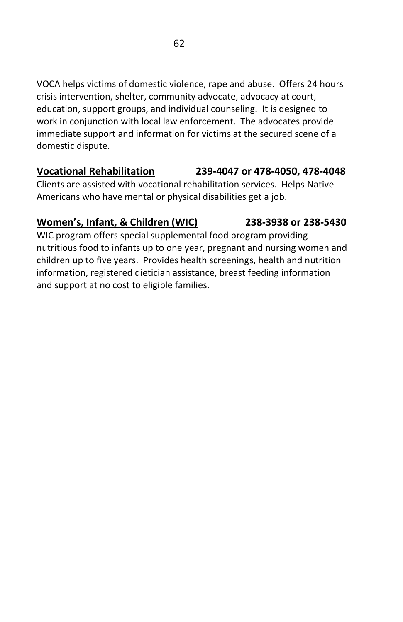VOCA helps victims of domestic violence, rape and abuse. Offers 24 hours crisis intervention, shelter, community advocate, advocacy at court, education, support groups, and individual counseling. It is designed to work in conjunction with local law enforcement. The advocates provide immediate support and information for victims at the secured scene of a domestic dispute.

## **Vocational Rehabilitation 239-4047 or 478-4050, 478-4048**

Clients are assisted with vocational rehabilitation services. Helps Native Americans who have mental or physical disabilities get a job.

## **Women's, Infant, & Children (WIC) 238-3938 or 238-5430**

WIC program offers special supplemental food program providing nutritious food to infants up to one year, pregnant and nursing women and children up to five years. Provides health screenings, health and nutrition information, registered dietician assistance, breast feeding information and support at no cost to eligible families.